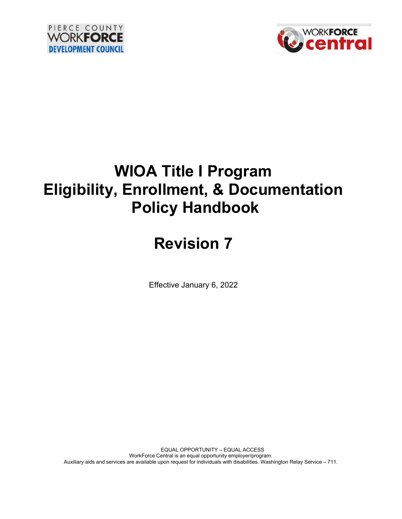



# **WIOA Title I Program Eligibility, Enrollment, & Documentation Policy Handbook**

# **Revision 7**

Effective January 6, 2022

EQUAL OPPORTUNITY – EQUAL ACCESS WorkForce Central is an equal opportunity employer/program. Auxiliary aids and services are available upon request for individuals with disabilities. Washington Relay Service – 711.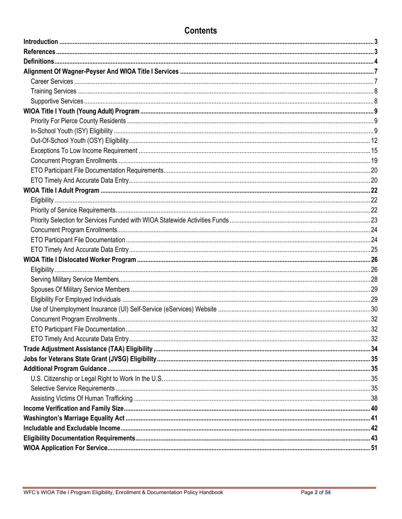# **Contents**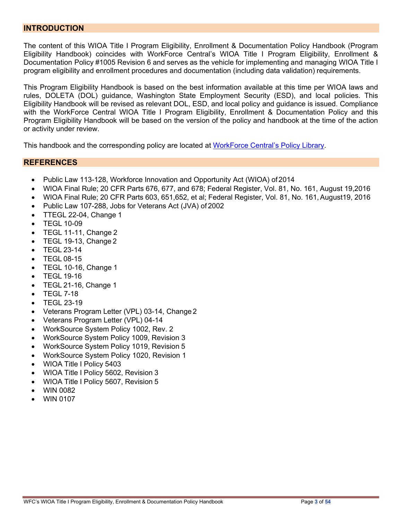#### <span id="page-2-0"></span>**INTRODUCTION**

The content of this WIOA Title I Program Eligibility, Enrollment & Documentation Policy Handbook (Program Eligibility Handbook) coincides with WorkForce Central's WIOA Title I Program Eligibility, Enrollment & Documentation Policy #1005 Revision 6 and serves as the vehicle for implementing and managing WIOA Title I program eligibility and enrollment procedures and documentation (including data validation) requirements.

This Program Eligibility Handbook is based on the best information available at this time per WIOA laws and rules, DOLETA (DOL) guidance, Washington State Employment Security (ESD), and local policies. This Eligibility Handbook will be revised as relevant DOL, ESD, and local policy and guidance is issued. Compliance with the WorkForce Central WIOA Title I Program Eligibility, Enrollment & Documentation Policy and this Program Eligibility Handbook will be based on the version of the policy and handbook at the time of the action or activity under review.

This handbook and the corresponding policy are located at [WorkForce Central's](https://workforce-central.org/about/policies/) Policy Library.

#### <span id="page-2-1"></span>**REFERENCES**

- Public Law 113-128, Workforce Innovation and Opportunity Act (WIOA) of 2014
- [WIOA Final Rule; 20 CFR Parts 676, 677, and 678; Federal Register, Vol. 81, No. 161, August 19,2016](https://www.gpo.gov/fdsys/pkg/FR-2016-08-19/pdf/2016-15977.pdf)
- WIOA Final Rule; 20 CFR Parts 603, 651,652, et al; Federal Register, Vol. 81, No. [161,August1](https://www.gpo.gov/fdsys/pkg/FR-2016-08-19/pdf/2016-15975.pdf)9, [2016](https://www.gpo.gov/fdsys/pkg/FR-2016-08-19/pdf/2016-15975.pdf)
- Public Law 107-288, Jobs for [Veterans](https://www.gpo.gov/fdsys/pkg/PLAW-107publ288/pdf/PLAW-107publ288.pdf) Act (JVA) of 2002
- TTEGL 22-04, [Change](http://wdr.doleta.gov/directives/corr_doc.cfm?DOCN=2540) 1
- [TEGL](http://wdr.doleta.gov/directives/corr_doc.cfm?DOCN=2816) 10-09
- $\bullet$  TEGL 11-11, [Change](http://wdr.doleta.gov/directives/corr_doc.cfm?DOCN=8779) 2
- TEGL 19-13, [Change](https://wdr.doleta.gov/directives/corr_doc.cfm?DOCN=3305) 2
- [TEGL](http://wdr.doleta.gov/directives/corr_doc.cfm?DOCN=4244) 23-14
- [TEGL](https://wdr.doleta.gov/directives/corr_doc.cfm?DOCN=6073) 08-15
- TEGL 10-16, Change 1
- [TEGL](https://wdr.doleta.gov/directives/corr_doc.cfm?DOCN=3851) 19-16
- TEGL [21-16,](https://wdr.doleta.gov/directives/corr_doc.cfm?DOCN=7159) Change 1
- [TEGL](https://wdr.doleta.gov/directives/attach/TEGL/TEGL_7-18_Attachment_I.pdf) 7-18
- TEGL 23-19
- Veterans Program Letter (VPL) [03-14, Change](https://www.dol.gov/vets/VMS/VPLs/VPL-03-14-Change-2.pdf) 2
- [Veterans](https://www.dol.gov/vets/VMS/VPLs/VPL-04-14.pdf) Program Letter (VPL) 04-14
- WorkSource System Policy 1002, Rev. 2
- WorkSource System Policy [1009, Revision](http://media.wpc.wa.gov/media/WPC/adm/policy/1009.pdf) 3
- [WorkSource](http://media.wpc.wa.gov/media/WPC/adm/policy/1019.pdf) System Policy 1019, Revision 5
- WorkSource System Policy 1020, Revision 1
- WIOA Title I [Policy](http://media.wpc.wa.gov/media/WPC/adm/policy/5403.pdf) 5403
- WIOA Title I Policy 5602, [Revision](http://media.wpc.wa.gov/media/WPC/adm/policy/5602.pdf) 3
- WIOA Title I Policy 5607, [Revision](http://media.wpc.wa.gov/media/WPC/adm/policy/5607.pdf) 5
- WIN [0082](http://media.wpc.wa.gov/media/WPC/adm/policy/0082.pdf)
- WIN 0107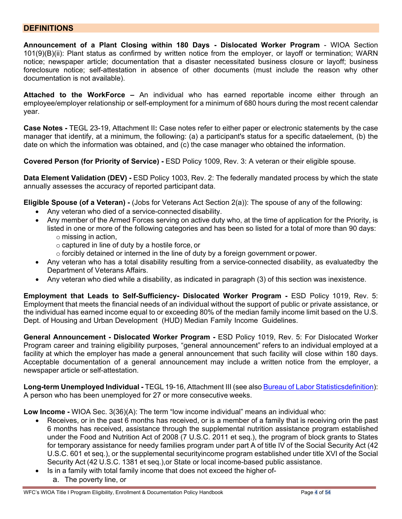#### <span id="page-3-0"></span>**DEFINITIONS**

**Announcement of a Plant Closing within 180 Days - Dislocated Worker Program** - WIOA Section 101(9)(B)(ii): Plant status as confirmed by written notice from the employer, or layoff or termination; WARN notice; newspaper article; documentation that a disaster necessitated business closure or layoff; business foreclosure notice; self-attestation in absence of other documents (must include the reason why other documentation is not available).

**Attached to the WorkForce –** An individual who has earned reportable income either through an employee/employer relationship or self-employment for a minimum of 680 hours during the most recent calendar year.

**Case Notes -** TEGL 23-19, Attachment II**:** Case notes refer to either paper or electronic statements by the case manager that identify, at a minimum, the following: (a) a participant's status for a specific dataelement, (b) the date on which the information was obtained, and (c) the case manager who obtained the information.

**Covered Person (for Priority of Service) -** ESD Policy 1009, Rev. 3: A veteran or their eligible spouse.

**Data Element Validation (DEV) -** ESD Policy 1003, Rev. 2: The federally mandated process by which the state annually assesses the accuracy of reported participant data.

**Eligible Spouse (of a Veteran) -** (Jobs for Veterans Act Section 2(a)): The spouse of any of the following:

- Any veteran who died of a service-connected disability.
- Any member of the Armed Forces serving on active duty who, at the time of application for the Priority, is listed in one or more of the following categories and has been so listed for a total of more than 90 days: o missing in action,
	- o captured in line of duty by a hostile force, or
	- $\circ$  forcibly detained or interned in the line of duty by a foreign government or power.
- Any veteran who has a total disability resulting from a service-connected disability, as evaluatedby the Department of Veterans Affairs.
- Any veteran who died while a disability, as indicated in paragraph (3) of this section was inexistence.

**Employment that Leads to Self-Sufficiency- Dislocated Worker Program -** ESD Policy 1019, Rev. 5: Employment that meets the financial needs of an individual without the support of public or private assistance, or the individual has earned income equal to or exceeding 80% of the median family income limit based on the U.S. Dept. of Housing and Urban Development (HUD) Median Family Income Guidelines.

**General Announcement - Dislocated Worker Program -** ESD Policy 1019, Rev. 5: For Dislocated Worker Program career and training eligibility purposes, "general announcement" refers to an individual employed at a facility at which the employer has made a general announcement that such facility will close within 180 days. Acceptable documentation of a general announcement may include a written notice from the employer, a newspaper article or self-attestation.

**Long-term Unemployed Individual -** TEGL 19-16, Attachment III (see also Bureau of Labor [Statisticsdefinition\)](https://www.bls.gov/cps/definitions.htm#:%7E:text=In%20Bureau%20of%20Labor%20Statistics,27%20continuous%20weeks%20or%20more.&text=See%20also%20duration%20of%20unemployment.): A person who has been unemployed for 27 or more consecutive weeks.

**Low Income -** WIOA Sec. 3(36)(A): The term "low income individual" means an individual who:

- Receives, or in the past 6 months has received, or is a member of a family that is receiving orin the past 6 months has received, assistance through the supplemental nutrition assistance program established under the Food and Nutrition Act of 2008 (7 U.S.C. 2011 et seq.), the program of block grants to States for temporary assistance for needy families program under part A of title IV of the Social Security Act (42 U.S.C. 601 et seq.), or the supplemental securityincome program established under title XVI of the Social Security Act (42 U.S.C. 1381 et seq.),or State or local income-based public assistance.
- Is in a family with total family income that does not exceed the higher of
	- a. The poverty line, or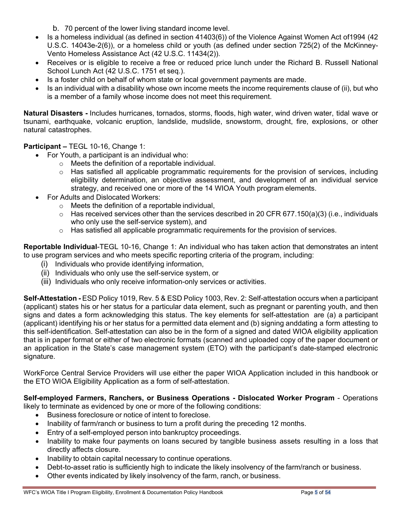- b. 70 percent of the lower living standard income level.
- Is a homeless individual (as defined in section 41403(6)) of the Violence Against Women Act of 1994 (42 U.S.C. 14043e-2(6)), or a homeless child or youth (as defined under section 725(2) of the McKinney-Vento Homeless Assistance Act (42 U.S.C. 11434(2)).
- Receives or is eligible to receive a free or reduced price lunch under the Richard B. Russell National School Lunch Act (42 U.S.C. 1751 et seq.).
- Is a foster child on behalf of whom state or local government payments are made.
- Is an individual with a disability whose own income meets the income requirements clause of (ii), but who is a member of a family whose income does not meet this requirement.

**Natural Disasters -** Includes hurricanes, tornados, storms, floods, high water, wind driven water, tidal wave or tsunami, earthquake, volcanic eruption, landslide, mudslide, snowstorm, drought, fire, explosions, or other natural catastrophes.

**Participant –** TEGL 10-16, Change 1:

- For Youth, a participant is an individual who:
	- o Meets the definition of a reportable individual.
	- $\circ$  Has satisfied all applicable programmatic requirements for the provision of services, including eligibility determination, an objective assessment, and development of an individual service strategy, and received one or more of the 14 WIOA Youth program elements.
- For Adults and Dislocated Workers:
	- o Meets the definition of a reportable individual,
	- $\circ$  Has received services other than the services described in 20 CFR 677.150(a)(3) (i.e., individuals who only use the self-service system), and
	- $\circ$  Has satisfied all applicable programmatic requirements for the provision of services.

**Reportable Individual**-TEGL 10-16, Change 1: An individual who has taken action that demonstrates an intent to use program services and who meets specific reporting criteria of the program, including:

- (i) Individuals who provide identifying information,
- (ii) Individuals who only use the self-service system, or
- (iii) Individuals who only receive information-only services or activities.

**Self-Attestation -** ESD Policy 1019, Rev. 5 & ESD Policy 1003, Rev. 2: Self-attestation occurs when a participant (applicant) states his or her status for a particular data element, such as pregnant or parenting youth, and then signs and dates a form acknowledging this status. The key elements for self-attestation are (a) a participant (applicant) identifying his or her status for a permitted data element and (b) signing anddating a form attesting to this self-identification. Self-attestation can also be in the form of a signed and dated WIOA eligibility application that is in paper format or either of two electronic formats (scanned and uploaded copy of the paper document or an application in the State's case management system (ETO) with the participant's date-stamped electronic signature.

WorkForce Central Service Providers will use either the paper WIOA Application included in this handbook or the ETO WIOA Eligibility Application as a form of self-attestation.

# **Self-employed Farmers, Ranchers, or Business Operations - Dislocated Worker Program** - Operations

likely to terminate as evidenced by one or more of the following conditions:

- Business foreclosure or notice of intent to foreclose.
- Inability of farm/ranch or business to turn a profit during the preceding 12 months.
- Entry of a self-employed person into bankruptcy proceedings.
- Inability to make four payments on loans secured by tangible business assets resulting in a loss that directly affects closure.
- Inability to obtain capital necessary to continue operations.
- Debt-to-asset ratio is sufficiently high to indicate the likely insolvency of the farm/ranch or business.
- Other events indicated by likely insolvency of the farm, ranch, or business.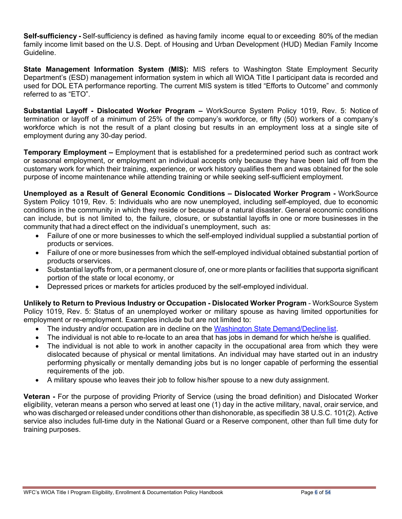**Self-sufficiency -** Self-sufficiency is defined as having family income equal to or exceeding 80% of the median family income limit based on the U.S. Dept. of Housing and Urban Development (HUD) Median Family Income Guideline.

**State Management Information System (MIS):** MIS refers to Washington State Employment Security Department's (ESD) management information system in which all WIOA Title I participant data is recorded and used for DOL ETA performance reporting. The current MIS system is titled "Efforts to Outcome" and commonly referred to as "ETO".

**Substantial Layoff - Dislocated Worker Program –** WorkSource System Policy 1019, Rev. 5: Notice of termination or layoff of a minimum of 25% of the company's workforce, or fifty (50) workers of a company's workforce which is not the result of a plant closing but results in an employment loss at a single site of employment during any 30-day period.

<span id="page-5-0"></span>**Temporary Employment –** Employment that is established for a predetermined period such as contract work or seasonal employment, or employment an individual accepts only because they have been laid off from the customary work for which their training, experience, or work history qualifies them and was obtained for the sole purpose of income maintenance while attending training or while seeking self-sufficient employment.

**Unemployed as a Result of General Economic Conditions – Dislocated Worker Program -** WorkSource System Policy 1019, Rev. 5: Individuals who are now unemployed, including self-employed, due to economic conditions in the community in which they reside or because of a natural disaster. General economic conditions can include, but is not limited to, the failure, closure, or substantial layoffs in one or more businesses in the community that had a direct effect on the individual's unemployment, such as:

- Failure of one or more businesses to which the self-employed individual supplied a substantial portion of products or services.
- Failure of one or more businesses from which the self-employed individual obtained substantial portion of products orservices.
- Substantial layoffs from, or a permanent closure of, one or more plants or facilities that supporta significant portion of the state or local economy, or
- Depressed prices or markets for articles produced by the self-employed individual.

**Unlikely to Return to Previous Industry or Occupation - Dislocated Worker Program** - WorkSource System Policy 1019, Rev. 5: Status of an unemployed worker or military spouse as having limited opportunities for employment or re-employment. Examples include but are not limited to:

- The industry and/or occupation are in decline on the Washington [State Demand/Decline](https://esd.wa.gov/labormarketinfo/learn-about-an-occupation#/search) list.
- The individual is not able to re-locate to an area that has jobs in demand for which he/she is qualified.
- The individual is not able to work in another capacity in the occupational area from which they were dislocated because of physical or mental limitations. An individual may have started out in an industry performing physically or mentally demanding jobs but is no longer capable of performing the essential requirements of the job.
- A military spouse who leaves their job to follow his/her spouse to a new duty assignment.

**Veteran -** For the purpose of providing Priority of Service (using the broad definition) and Dislocated Worker eligibility, veteran means a person who served at least one (1) day in the active military, naval, orair service, and who was discharged or released under conditions other than dishonorable, as specifiedin 38 U.S.C. 101(2). Active service also includes full-time duty in the National Guard or a Reserve component, other than full time duty for training purposes.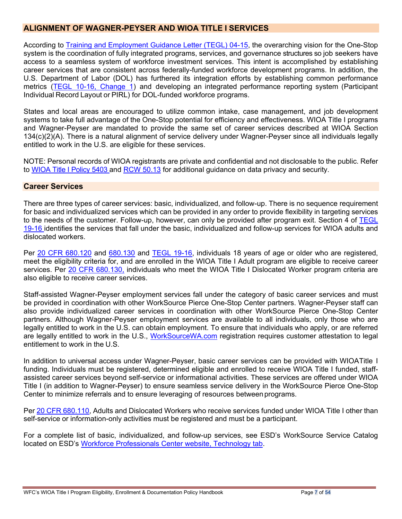# <span id="page-6-0"></span>**ALIGNMENT OF WAGNER-PEYSER AND WIOA TITLE I SERVICES**

According to **Training and Employment Guidance Letter (TEGL) 04-15**, the overarching vision for the One-Stop system is the coordination of fully integrated programs, services, and governance structures so job seekers have access to a seamless system of workforce investment services. This intent is accomplished by establishing career services that are consistent across federally-funded workforce development programs. In addition, the U.S. Department of Labor (DOL) has furthered its integration efforts by establishing common performance metrics [\(TEGL 10-16, Change 1\)](https://wdr.doleta.gov/directives/corr_doc.cfm?DOCN=3255) and developing an integrated performance reporting system (Participant Individual Record Layout or PIRL) for DOL-funded workforce programs.

States and local areas are encouraged to utilize common intake, case management, and job development systems to take full advantage of the One-Stop potential for efficiency and effectiveness. WIOA Title I programs and Wagner-Peyser are mandated to provide the same set of career services described at WIOA Section 134(c)(2)(A). There is a natural alignment of service delivery under Wagner-Peyser since all individuals legally entitled to work in the U.S. are eligible for these services.

NOTE: Personal records of WIOA registrants are private and confidential and not disclosable to the public. Refer to [WIOA Title I Policy 5403](https://storemultisites.blob.core.windows.net/media/WPC/adm/policy/5403.pdf) and [RCW 50.13](https://app.leg.wa.gov/RCW/default.aspx?cite=50.13) for additional guidance on data privacy and security.

#### <span id="page-6-1"></span>**Career Services**

There are three types of career services: basic, individualized, and follow-up. There is no sequence requirement for basic and individualized services which can be provided in any order to provide flexibility in targeting services to the needs of the customer. Follow-up, however, can only be provided after program exit. Section 4 of [TEGL](https://wdr.doleta.gov/directives/corr_doc.cfm?DOCN=3851)  [19-16](https://wdr.doleta.gov/directives/corr_doc.cfm?DOCN=3851) identifies the services that fall under the basic, individualized and follow-up services for WIOA adults and dislocated workers.

Per [20 CFR 680.120](https://www.ecfr.gov/cgi-bin/text-idx?node=pt20.4.680&rgn=div5#se20.4.680_1120) and [680.130](https://www.ecfr.gov/cgi-bin/text-idx?node=pt20.4.680&rgn=div5#se20.4.680_1120) and [TEGL 19-16,](https://wdr.doleta.gov/directives/corr_doc.cfm?DOCN=3851) individuals 18 years of age or older who are registered, meet the eligibility criteria for, and are enrolled in the WIOA Title I Adult program are eligible to receive career services. Per [20 CFR 680.130,](https://www.ecfr.gov/cgi-bin/text-idx?node=pt20.4.680&rgn=div5#se20.4.680_1120) individuals who meet the WIOA Title I Dislocated Worker program criteria are also eligible to receive career services.

Staff-assisted Wagner-Peyser employment services fall under the category of basic career services and must be provided in coordination with other WorkSource Pierce One-Stop Center partners. Wagner-Peyser staff can also provide individualized career services in coordination with other WorkSource Pierce One-Stop Center partners. Although Wagner-Peyser employment services are available to all individuals, only those who are legally entitled to work in the U.S. can obtain employment. To ensure that individuals who apply, or are referred are legally entitled to work in the U.S., [WorkSourceWA.com](https://worksourcewa.com/) registration requires customer attestation to legal entitlement to work in the U.S.

In addition to universal access under Wagner-Peyser, basic career services can be provided with WIOATitle I funding. Individuals must be registered, determined eligible and enrolled to receive WIOA Title I funded, staffassisted career services beyond self-service or informational activities. These services are offered under WIOA Title I (in addition to Wagner-Peyser) to ensure seamless service delivery in the WorkSource Pierce One-Stop Center to minimize referrals and to ensure leveraging of resources betweenprograms.

Per [20 CFR 680.110,](https://www.ecfr.gov/cgi-bin/text-idx?node=pt20.4.680&rgn=div5#se20.4.680_1120) Adults and Dislocated Workers who receive services funded under WIOA Title I other than self-service or information-only activities must be registered and must be a participant.

For a complete list of basic, individualized, and follow-up services, see ESD's WorkSource Service Catalog located on ESD's [Workforce Professionals Center website, Technology tab.](https://wpc.wa.gov/tech)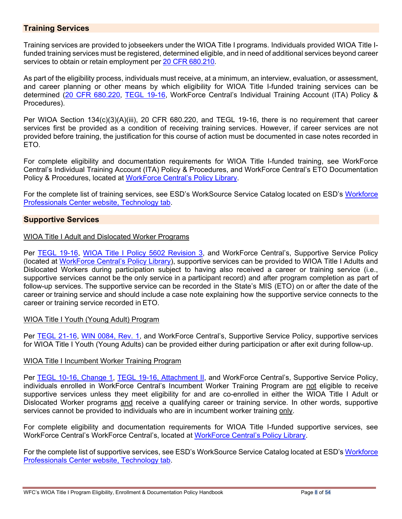### <span id="page-7-0"></span>**Training Services**

Training services are provided to jobseekers under the WIOA Title I programs. Individuals provided WIOA Title Ifunded training services must be registered, determined eligible, and in need of additional services beyond career services to obtain or retain employment per 20 [CFR 680.210.](https://www.ecfr.gov/cgi-bin/text-idx?node=pt20.4.680&rgn=div5#se20.4.680_1120)

As part of the eligibility process, individuals must receive, at a minimum, an interview, evaluation, or assessment, and career planning or other means by which eligibility for WIOA Title I-funded training services can be determined (20 [CFR 680.220,](https://www.ecfr.gov/cgi-bin/text-idx?node=pt20.4.680&rgn=div5#se20.4.680_1120) [TEGL 19-16,](https://wdr.doleta.gov/directives/corr_doc.cfm?DOCN=3851) WorkForce Central's Individual Training Account (ITA) Policy & Procedures).

Per WIOA Section 134(c)(3)(A)(iii), 20 CFR 680.220, and TEGL 19-16, there is no requirement that career services first be provided as a condition of receiving training services. However, if career services are not provided before training, the justification for this course of action must be documented in case notes recorded in ETO.

For complete eligibility and documentation requirements for WIOA Title I-funded training, see WorkForce Central's Individual Training Account (ITA) Policy & Procedures, and WorkForce Central's ETO Documentation Policy & Procedures, located at [WorkForce Central's Policy Library.](https://workforce-central.org/about/policies/)

For the complete list of training services, see ESD's WorkSource Service Catalog located on ESD's [Workforce](https://wpc.wa.gov/tech)  [Professionals Center website, Technology tab.](https://wpc.wa.gov/tech)

#### <span id="page-7-1"></span>**Supportive Services**

#### WIOA Title I Adult and Dislocated Worker Programs

Per [TEGL 19-16,](https://wdr.doleta.gov/directives/corr_doc.cfm?DOCN=3851) [WIOA Title I Policy 5602 Revision 3,](https://storemultisites.blob.core.windows.net/media/WPC/adm/policy/5602-3-1.pdf) and WorkForce Central's, Supportive Service Policy (located at [WorkForce Central's Policy Library\)](https://workforce-central.org/about/policies/), supportive services can be provided to WIOA Title I Adults and Dislocated Workers during participation subject to having also received a career or training service (i.e., supportive services cannot be the only service in a participant record) and after program completion as part of follow-up services. The supportive service can be recorded in the State's MIS (ETO) on or after the date of the career or training service and should include a case note explaining how the supportive service connects to the career or training service recorded in ETO.

#### WIOA Title I Youth (Young Adult) Program

Per [TEGL 21-16,](https://wdr.doleta.gov/directives/corr_doc.cfm?docn=7159) [WIN 0084, Rev. 1,](https://storemultisites.blob.core.windows.net/media/WPC/adm/policy/0084.pdf) and WorkForce Central's, Supportive Service Policy, supportive services for WIOA Title I Youth (Young Adults) can be provided either during participation or after exit during follow-up.

#### WIOA Title I Incumbent Worker Training Program

Per [TEGL 10-16, Change 1,](https://wdr.doleta.gov/directives/corr_doc.cfm?DOCN=3255) [TEGL 19-16, Attachment II,](https://wdr.doleta.gov/directives/attach/TEGL/TEGL_19-16_Attachment_II.pdf) and WorkForce Central's, Supportive Service Policy, individuals enrolled in WorkForce Central's Incumbent Worker Training Program are not eligible to receive supportive services unless they meet eligibility for and are co-enrolled in either the WIOA Title I Adult or Dislocated Worker programs and receive a qualifying career or training service. In other words, supportive services cannot be provided to individuals who are in incumbent worker training only.

For complete eligibility and documentation requirements for WIOA Title I-funded supportive services, see WorkForce Central's WorkForce Central's, located at [WorkForce Central's Policy Library.](https://workforce-central.org/about/policies/)

For the complete list of supportive services, see ESD's WorkSource Service Catalog located at ESD's [Workforce](https://wpc.wa.gov/tech)  [Professionals Center website, Technology tab.](https://wpc.wa.gov/tech)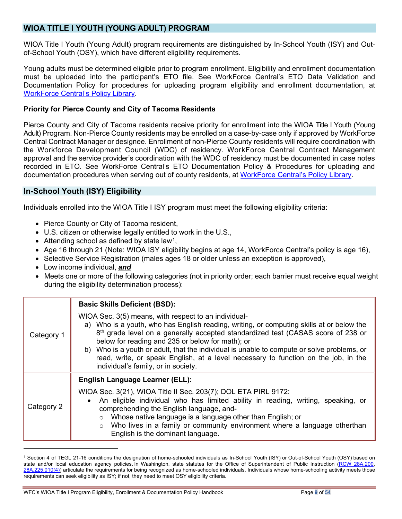# <span id="page-8-0"></span>**WIOA TITLE I YOUTH (YOUNG ADULT) PROGRAM**

WIOA Title I Youth (Young Adult) program requirements are distinguished by In-School Youth (ISY) and Outof-School Youth (OSY), which have different eligibility requirements.

Young adults must be determined eligible prior to program enrollment. Eligibility and enrollment documentation must be uploaded into the participant's ETO file. See WorkForce Central's ETO Data Validation and Documentation Policy for procedures for uploading program eligibility and enrollment documentation, at [WorkForce Central's](https://workforce-central.org/about/policies/) Policy Library.

#### <span id="page-8-1"></span>**Priority for Pierce County and City of Tacoma Residents**

Pierce County and City of Tacoma residents receive priority for enrollment into the WIOA Title I Youth (Young Adult) Program. Non-Pierce County residents may be enrolled on a case-by-case only if approved by WorkForce Central Contract Manager or designee. Enrollment of non-Pierce County residents will require coordination with the Workforce Development Council (WDC) of residency. WorkForce Central Contract Management approval and the service provider's coordination with the WDC of residency must be documented in case notes recorded in ETO. See WorkForce Central's ETO Documentation Policy & Procedures for uploading and documentation procedures when serving out of county residents, at [WorkForce Central's Policy Library.](https://workforce-central.org/about/policies/)

#### <span id="page-8-2"></span>**In-School Youth (ISY) Eligibility**

Individuals enrolled into the WIOA Title I ISY program must meet the following eligibility criteria:

- Pierce County or City of Tacoma resident,
- U.S. citizen or otherwise legally entitled to work in the U.S.,
- Attending school as defined by state law<sup>1</sup>,
- Age 16 through 21 (Note: WIOA ISY eligibility begins at age 14, WorkForce Central's policy is age 16),
- Selective Service Registration (males ages 18 or older unless an exception is approved),
- Low income individual, *and*
- Meets one or more of the following categories (not in priority order; each barrier must receive equal weight during the eligibility determination process):

|                                                                                                                                                                                                                                                                                                                                                                                                                                                                                                                                   | <b>Basic Skills Deficient (BSD):</b>                                                                                                                                                                                                                                                                                                                                                                                                             |
|-----------------------------------------------------------------------------------------------------------------------------------------------------------------------------------------------------------------------------------------------------------------------------------------------------------------------------------------------------------------------------------------------------------------------------------------------------------------------------------------------------------------------------------|--------------------------------------------------------------------------------------------------------------------------------------------------------------------------------------------------------------------------------------------------------------------------------------------------------------------------------------------------------------------------------------------------------------------------------------------------|
| WIOA Sec. 3(5) means, with respect to an individual-<br>a) Who is a youth, who has English reading, writing, or computing skills at or below the<br>8th grade level on a generally accepted standardized test (CASAS score of 238 or<br>Category 1<br>below for reading and 235 or below for math); or<br>b) Who is a youth or adult, that the individual is unable to compute or solve problems, or<br>read, write, or speak English, at a level necessary to function on the job, in the<br>individual's family, or in society. |                                                                                                                                                                                                                                                                                                                                                                                                                                                  |
| Category 2                                                                                                                                                                                                                                                                                                                                                                                                                                                                                                                        | <b>English Language Learner (ELL):</b><br>WIOA Sec. 3(21), WIOA Title II Sec. 203(7); DOL ETA PIRL 9172:<br>• An eligible individual who has limited ability in reading, writing, speaking, or<br>comprehending the English language, and-<br>Whose native language is a language other than English; or<br>$\circ$<br>Who lives in a family or community environment where a language otherthan<br>$\circ$<br>English is the dominant language. |

<span id="page-8-3"></span><sup>1</sup> Section 4 of TEGL 21-16 conditions the designation of home-schooled individuals as In-School Youth (ISY) or Out-of-School Youth (OSY) based on state and/or local education agency policies. In Washington, state statutes for the Office of Superintendent of Public Instruction (RCW [28A.200,](http://app.leg.wa.gov/RCW/default.aspx?cite=28A.200) [28A.225.010\(4\)\)](http://app.leg.wa.gov/RCW/default.aspx?cite=28A.225.010) articulate the requirements for being recognized as home-schooled individuals. Individuals whose home-schooling activity meets those requirements can seek eligibility as ISY; if not, they need to meet OSY eligibility criteria.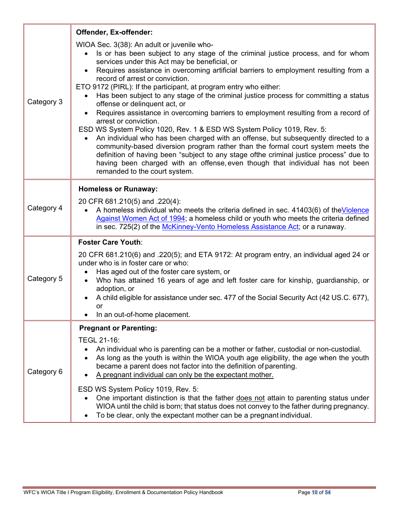|            | Offender, Ex-offender:                                                                                                                                                                                                                                                                                                                                                                                                                                                                                                                                                                                                                                                                                                                                                                                                                                                                                                                                                                                                                                                                                                           |
|------------|----------------------------------------------------------------------------------------------------------------------------------------------------------------------------------------------------------------------------------------------------------------------------------------------------------------------------------------------------------------------------------------------------------------------------------------------------------------------------------------------------------------------------------------------------------------------------------------------------------------------------------------------------------------------------------------------------------------------------------------------------------------------------------------------------------------------------------------------------------------------------------------------------------------------------------------------------------------------------------------------------------------------------------------------------------------------------------------------------------------------------------|
| Category 3 | WIOA Sec. 3(38): An adult or juvenile who-<br>Is or has been subject to any stage of the criminal justice process, and for whom<br>$\bullet$<br>services under this Act may be beneficial, or<br>Requires assistance in overcoming artificial barriers to employment resulting from a<br>record of arrest or conviction.<br>ETO 9172 (PIRL): If the participant, at program entry who either:<br>Has been subject to any stage of the criminal justice process for committing a status<br>$\bullet$<br>offense or delinquent act, or<br>Requires assistance in overcoming barriers to employment resulting from a record of<br>$\bullet$<br>arrest or conviction.<br>ESD WS System Policy 1020, Rev. 1 & ESD WS System Policy 1019, Rev. 5:<br>An individual who has been charged with an offense, but subsequently directed to a<br>community-based diversion program rather than the formal court system meets the<br>definition of having been "subject to any stage ofthe criminal justice process" due to<br>having been charged with an offense, even though that individual has not been<br>remanded to the court system. |
| Category 4 | <b>Homeless or Runaway:</b><br>20 CFR 681.210(5) and .220(4):<br>A homeless individual who meets the criteria defined in sec. 41403(6) of the Violence<br>$\bullet$<br>Against Women Act of 1994; a homeless child or youth who meets the criteria defined<br>in sec. 725(2) of the McKinney-Vento Homeless Assistance Act; or a runaway.                                                                                                                                                                                                                                                                                                                                                                                                                                                                                                                                                                                                                                                                                                                                                                                        |
| Category 5 | <b>Foster Care Youth:</b><br>20 CFR 681.210(6) and .220(5); and ETA 9172: At program entry, an individual aged 24 or<br>under who is in foster care or who:<br>Has aged out of the foster care system, or<br>Who has attained 16 years of age and left foster care for kinship, guardianship, or<br>$\bullet$<br>adoption, or<br>A child eligible for assistance under sec. 477 of the Social Security Act (42 US.C. 677),<br>$\bullet$<br><b>or</b><br>In an out-of-home placement.                                                                                                                                                                                                                                                                                                                                                                                                                                                                                                                                                                                                                                             |
| Category 6 | <b>Pregnant or Parenting:</b><br>TEGL 21-16:<br>An individual who is parenting can be a mother or father, custodial or non-custodial.<br>٠<br>As long as the youth is within the WIOA youth age eligibility, the age when the youth<br>٠<br>became a parent does not factor into the definition of parenting.<br>A pregnant individual can only be the expectant mother.<br>ESD WS System Policy 1019, Rev. 5:<br>One important distinction is that the father does not attain to parenting status under<br>WIOA until the child is born; that status does not convey to the father during pregnancy.<br>To be clear, only the expectant mother can be a pregnant individual.<br>$\bullet$                                                                                                                                                                                                                                                                                                                                                                                                                                       |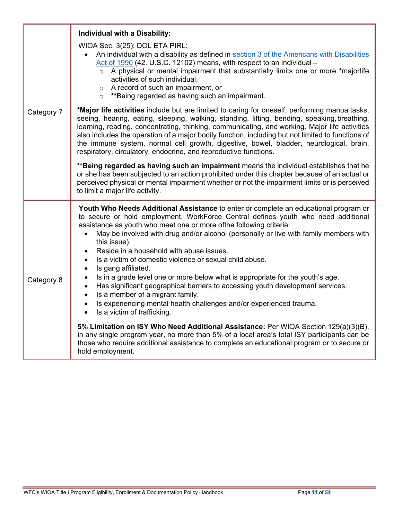|            | Individual with a Disability:                                                                                                                                                                                                                                                                                                                                                                                                                                                                                                                                                                                                                                                                                                                                                                                                                                                      |  |
|------------|------------------------------------------------------------------------------------------------------------------------------------------------------------------------------------------------------------------------------------------------------------------------------------------------------------------------------------------------------------------------------------------------------------------------------------------------------------------------------------------------------------------------------------------------------------------------------------------------------------------------------------------------------------------------------------------------------------------------------------------------------------------------------------------------------------------------------------------------------------------------------------|--|
| Category 7 | WIOA Sec. 3(25); DOL ETA PIRL:<br>An individual with a disability as defined in section 3 of the Americans with Disabilities<br>Act of 1990 (42. U.S.C. 12102) means, with respect to an individual -<br>o A physical or mental impairment that substantially limits one or more *majorlife<br>activities of such individual,<br>o A record of such an impairment, or<br>o **Being regarded as having such an impairment.                                                                                                                                                                                                                                                                                                                                                                                                                                                          |  |
|            | *Major life activities include but are limited to caring for oneself, performing manualtasks,<br>seeing, hearing, eating, sleeping, walking, standing, lifting, bending, speaking, breathing,<br>learning, reading, concentrating, thinking, communicating, and working. Major life activities<br>also includes the operation of a major bodily function, including but not limited to functions of<br>the immune system, normal cell growth, digestive, bowel, bladder, neurological, brain,<br>respiratory, circulatory, endocrine, and reproductive functions.                                                                                                                                                                                                                                                                                                                  |  |
|            | ** Being regarded as having such an impairment means the individual establishes that he<br>or she has been subjected to an action prohibited under this chapter because of an actual or<br>perceived physical or mental impairment whether or not the impairment limits or is perceived<br>to limit a major life activity.                                                                                                                                                                                                                                                                                                                                                                                                                                                                                                                                                         |  |
| Category 8 | Youth Who Needs Additional Assistance to enter or complete an educational program or<br>to secure or hold employment. WorkForce Central defines youth who need additional<br>assistance as youth who meet one or more ofthe following criteria:<br>May be involved with drug and/or alcohol (personally or live with family members with<br>this issue).<br>Reside in a household with abuse issues.<br>$\bullet$<br>Is a victim of domestic violence or sexual child abuse.<br>$\bullet$<br>Is gang affiliated.<br>$\bullet$<br>Is in a grade level one or more below what is appropriate for the youth's age.<br>$\bullet$<br>Has significant geographical barriers to accessing youth development services.<br>$\bullet$<br>Is a member of a migrant family.<br>$\bullet$<br>Is experiencing mental health challenges and/or experienced trauma.<br>Is a victim of trafficking. |  |
|            | 5% Limitation on ISY Who Need Additional Assistance: Per WIOA Section 129(a)(3)(B),<br>in any single program year, no more than 5% of a local area's total ISY participants can be<br>those who require additional assistance to complete an educational program or to secure or<br>hold employment.                                                                                                                                                                                                                                                                                                                                                                                                                                                                                                                                                                               |  |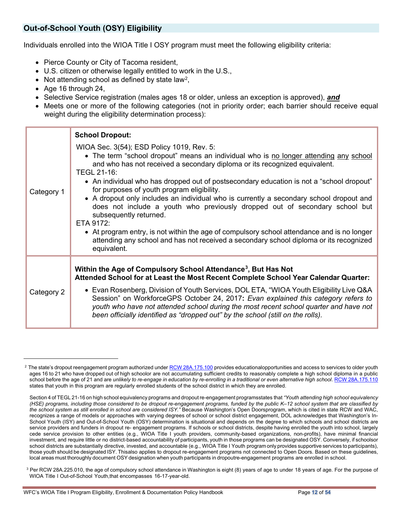# <span id="page-11-0"></span>**Out-of-School Youth (OSY) Eligibility**

Individuals enrolled into the WIOA Title I OSY program must meet the following eligibility criteria:

- Pierce County or City of Tacoma resident,
- U.S. citizen or otherwise legally entitled to work in the U.S.,
- Not attending school as defined by state law<sup>2</sup>,
- Age 16 through 24,
- Selective Service registration (males ages 18 or older, unless an exception is approved), *and*
- Meets one or more of the following categories (not in priority order; each barrier should receive equal weight during the eligibility determination process):

|            | <b>School Dropout:</b>                                                                                                                                                                                                                                                                                                                                                                                                                                                                                                                                                                                                                                                                                                                                                                            |  |  |
|------------|---------------------------------------------------------------------------------------------------------------------------------------------------------------------------------------------------------------------------------------------------------------------------------------------------------------------------------------------------------------------------------------------------------------------------------------------------------------------------------------------------------------------------------------------------------------------------------------------------------------------------------------------------------------------------------------------------------------------------------------------------------------------------------------------------|--|--|
| Category 1 | WIOA Sec. 3(54); ESD Policy 1019, Rev. 5:<br>• The term "school dropout" means an individual who is no longer attending any school<br>and who has not received a secondary diploma or its recognized equivalent.<br>TEGL 21-16:<br>• An individual who has dropped out of postsecondary education is not a "school dropout"<br>for purposes of youth program eligibility.<br>• A dropout only includes an individual who is currently a secondary school dropout and<br>does not include a youth who previously dropped out of secondary school but<br>subsequently returned.<br>ETA 9172:<br>• At program entry, is not within the age of compulsory school attendance and is no longer<br>attending any school and has not received a secondary school diploma or its recognized<br>equivalent. |  |  |
|            | Within the Age of Compulsory School Attendance <sup>3</sup> , But Has Not                                                                                                                                                                                                                                                                                                                                                                                                                                                                                                                                                                                                                                                                                                                         |  |  |
| Category 2 | Attended School for at Least the Most Recent Complete School Year Calendar Quarter:                                                                                                                                                                                                                                                                                                                                                                                                                                                                                                                                                                                                                                                                                                               |  |  |
|            | • Evan Rosenberg, Division of Youth Services, DOL ETA, "WIOA Youth Eligibility Live Q&A<br>Session" on WorkforceGPS October 24, 2017: Evan explained this category refers to<br>youth who have not attended school during the most recent school quarter and have not<br>been officially identified as "dropped out" by the school (still on the rolls).                                                                                                                                                                                                                                                                                                                                                                                                                                          |  |  |

<span id="page-11-1"></span><sup>&</sup>lt;sup>2</sup> The state's dropout reengagement program authorized under RCW [28A.175.100](http://app.leg.wa.gov/rcw/default.aspx?cite=28A.175.100) provides educationalopportunities and access to services to older youth ages 16 to 21 who have dropped out of high schoolor are not accumulating sufficient credits to reasonably complete a high school diploma in a public school before the age of 21 and are *unlikely to re-engage in education by re-enrolling in a traditional or even alternative high school[. RCW 28A.175.110](http://app.leg.wa.gov/rcw/default.aspx?cite=28A.175.110)* states that youth in this program are regularly enrolled students of the school district in which they are enrolled.

Section 4 of TEGL 21-16 on high school equivalency programs and dropout re-engagement programsstates that *"Youth attending high school equivalency (HSE) programs, including those considered to be dropout re-engagement programs, funded by the public K–12 school system that are classified by the school system as still enrolled in school are considered ISY."* Because Washington's Open Doorsprogram, which is cited in state RCW and WAC, recognizes a range of models or approaches with varying degrees of school or school district engagement, DOL acknowledges that Washington's In-School Youth (ISY) and Out-of-School Youth (OSY) determination is situational and depends on the degree to which schools and school districts are service providers and funders in dropout re- engagement programs. If schools or school districts, despite having enrolled the youth into school, largely cede service provision to other entities (e.g., WIOA Title I youth providers, community-based organizations, non-profits), have minimal financial investment, and require little or no district-based accountability of participants, youth in those programs can be designated OSY. Conversely, if schoolsor school districts are substantially directive, invested, and accountable (e.g., WIOA Title I Youth program only provides supportive services to participants), those youth should be designated ISY. Thisalso applies to dropout re-engagement programs not connected to Open Doors. Based on these guidelines, local areas must thoroughly document OSY designation when youth participants in dropoutre-engagement programs are enrolled in school.

<span id="page-11-2"></span> $3$  Per RCW 28A.225.010, the age of compulsory school attendance in Washington is eight (8) years of age to under 18 years of age. For the purpose of WIOA Title I Out-of-School Youth,that encompasses 16-17-year-old.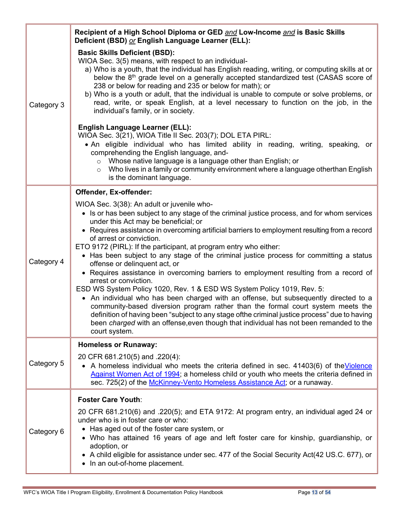|                        | Recipient of a High School Diploma or GED and Low-Income and is Basic Skills<br>Deficient (BSD) or English Language Learner (ELL):                                                                                                                                                                                                                                                                                                                                                                                                                                                                                                                                                                                                                                                                                                                                                                                                                                                                                                                                                                  |
|------------------------|-----------------------------------------------------------------------------------------------------------------------------------------------------------------------------------------------------------------------------------------------------------------------------------------------------------------------------------------------------------------------------------------------------------------------------------------------------------------------------------------------------------------------------------------------------------------------------------------------------------------------------------------------------------------------------------------------------------------------------------------------------------------------------------------------------------------------------------------------------------------------------------------------------------------------------------------------------------------------------------------------------------------------------------------------------------------------------------------------------|
| Category 3             | <b>Basic Skills Deficient (BSD):</b><br>WIOA Sec. 3(5) means, with respect to an individual-<br>a) Who is a youth, that the individual has English reading, writing, or computing skills at or<br>below the 8 <sup>th</sup> grade level on a generally accepted standardized test (CASAS score of<br>238 or below for reading and 235 or below for math); or<br>b) Who is a youth or adult, that the individual is unable to compute or solve problems, or<br>read, write, or speak English, at a level necessary to function on the job, in the<br>individual's family, or in society.                                                                                                                                                                                                                                                                                                                                                                                                                                                                                                             |
|                        | <b>English Language Learner (ELL):</b><br>WIOA Sec. 3(21), WIOA Title II Sec. 203(7); DOL ETA PIRL:<br>• An eligible individual who has limited ability in reading, writing, speaking, or<br>comprehending the English language, and-<br>Whose native language is a language other than English; or<br>$\circ$<br>Who lives in a family or community environment where a language otherthan English<br>$\circ$<br>is the dominant language.                                                                                                                                                                                                                                                                                                                                                                                                                                                                                                                                                                                                                                                         |
| Offender, Ex-offender: |                                                                                                                                                                                                                                                                                                                                                                                                                                                                                                                                                                                                                                                                                                                                                                                                                                                                                                                                                                                                                                                                                                     |
| Category 4             | WIOA Sec. 3(38): An adult or juvenile who-<br>• Is or has been subject to any stage of the criminal justice process, and for whom services<br>under this Act may be beneficial; or<br>• Requires assistance in overcoming artificial barriers to employment resulting from a record<br>of arrest or conviction.<br>ETO 9172 (PIRL): If the participant, at program entry who either:<br>• Has been subject to any stage of the criminal justice process for committing a status<br>offense or delinquent act, or<br>• Requires assistance in overcoming barriers to employment resulting from a record of<br>arrest or conviction.<br>ESD WS System Policy 1020, Rev. 1 & ESD WS System Policy 1019, Rev. 5:<br>• An individual who has been charged with an offense, but subsequently directed to a<br>community-based diversion program rather than the formal court system meets the<br>definition of having been "subject to any stage ofthe criminal justice process" due to having<br>been charged with an offense, even though that individual has not been remanded to the<br>court system. |
|                        | <b>Homeless or Runaway:</b>                                                                                                                                                                                                                                                                                                                                                                                                                                                                                                                                                                                                                                                                                                                                                                                                                                                                                                                                                                                                                                                                         |
| Category 5             | 20 CFR 681.210(5) and .220(4):<br>• A homeless individual who meets the criteria defined in sec. 41403(6) of the Violence<br>Against Women Act of 1994; a homeless child or youth who meets the criteria defined in<br>sec. 725(2) of the McKinney-Vento Homeless Assistance Act; or a runaway.                                                                                                                                                                                                                                                                                                                                                                                                                                                                                                                                                                                                                                                                                                                                                                                                     |
|                        | <b>Foster Care Youth:</b>                                                                                                                                                                                                                                                                                                                                                                                                                                                                                                                                                                                                                                                                                                                                                                                                                                                                                                                                                                                                                                                                           |
| Category 6             | 20 CFR 681.210(6) and .220(5); and ETA 9172: At program entry, an individual aged 24 or<br>under who is in foster care or who:<br>• Has aged out of the foster care system, or<br>• Who has attained 16 years of age and left foster care for kinship, guardianship, or<br>adoption, or<br>• A child eligible for assistance under sec. 477 of the Social Security Act(42 US.C. 677), or<br>• In an out-of-home placement.                                                                                                                                                                                                                                                                                                                                                                                                                                                                                                                                                                                                                                                                          |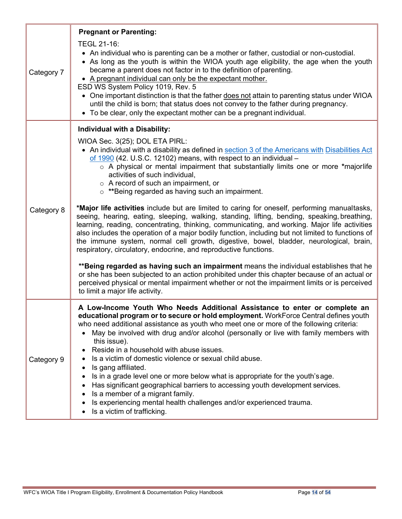|                                      | <b>Pregnant or Parenting:</b><br>TEGL 21-16:                                                                                                                                                                                                                                                                                                                                                                                                                                                                                                                                                                                                                                                                                                                                                                       |  |
|--------------------------------------|--------------------------------------------------------------------------------------------------------------------------------------------------------------------------------------------------------------------------------------------------------------------------------------------------------------------------------------------------------------------------------------------------------------------------------------------------------------------------------------------------------------------------------------------------------------------------------------------------------------------------------------------------------------------------------------------------------------------------------------------------------------------------------------------------------------------|--|
| Category 7                           | • An individual who is parenting can be a mother or father, custodial or non-custodial.<br>• As long as the youth is within the WIOA youth age eligibility, the age when the youth<br>became a parent does not factor in to the definition of parenting.<br>• A pregnant individual can only be the expectant mother.<br>ESD WS System Policy 1019, Rev. 5<br>• One important distinction is that the father does not attain to parenting status under WIOA<br>until the child is born; that status does not convey to the father during pregnancy.<br>• To be clear, only the expectant mother can be a pregnant individual.                                                                                                                                                                                      |  |
| <b>Individual with a Disability:</b> |                                                                                                                                                                                                                                                                                                                                                                                                                                                                                                                                                                                                                                                                                                                                                                                                                    |  |
|                                      | WIOA Sec. 3(25); DOL ETA PIRL:<br>• An individual with a disability as defined in section 3 of the Americans with Disabilities Act<br>of 1990 (42. U.S.C. 12102) means, with respect to an individual -<br>$\circ$ A physical or mental impairment that substantially limits one or more *majorlife<br>activities of such individual,<br>$\circ$ A record of such an impairment, or<br>o **Being regarded as having such an impairment.                                                                                                                                                                                                                                                                                                                                                                            |  |
| Category 8                           | *Major life activities include but are limited to caring for oneself, performing manualtasks,<br>seeing, hearing, eating, sleeping, walking, standing, lifting, bending, speaking, breathing,<br>learning, reading, concentrating, thinking, communicating, and working. Major life activities<br>also includes the operation of a major bodily function, including but not limited to functions of<br>the immune system, normal cell growth, digestive, bowel, bladder, neurological, brain,<br>respiratory, circulatory, endocrine, and reproductive functions.                                                                                                                                                                                                                                                  |  |
|                                      | **Being regarded as having such an impairment means the individual establishes that he<br>or she has been subjected to an action prohibited under this chapter because of an actual or<br>perceived physical or mental impairment whether or not the impairment limits or is perceived<br>to limit a major life activity.                                                                                                                                                                                                                                                                                                                                                                                                                                                                                          |  |
| Category 9                           | A Low-Income Youth Who Needs Additional Assistance to enter or complete an<br>educational program or to secure or hold employment. WorkForce Central defines youth<br>who need additional assistance as youth who meet one or more of the following criteria:<br>May be involved with drug and/or alcohol (personally or live with family members with<br>this issue).<br>Reside in a household with abuse issues.<br>Is a victim of domestic violence or sexual child abuse.<br>Is gang affiliated.<br>Is in a grade level one or more below what is appropriate for the youth's age.<br>Has significant geographical barriers to accessing youth development services.<br>Is a member of a migrant family.<br>Is experiencing mental health challenges and/or experienced trauma.<br>Is a victim of trafficking. |  |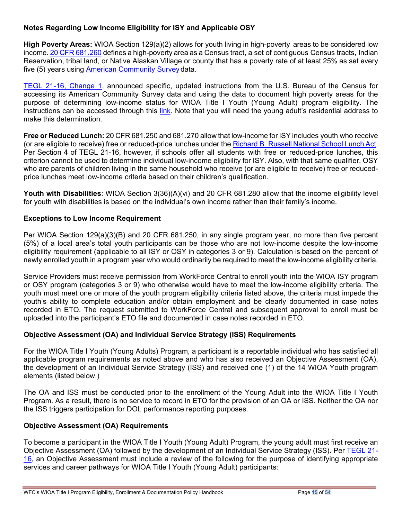#### **Notes Regarding Low Income Eligibility for ISY and Applicable OSY**

**High Poverty Areas:** WIOA Section 129(a)(2) allows for youth living in high-poverty areas to be considered low income. 20 CFR [681.260](https://www.ecfr.gov/current/title-20/chapter-V/part-681/subpart-B/section-681.260) defines a high-poverty area as a Census tract, a set of contiguous Census tracts, Indian Reservation, tribal land, or Native Alaskan Village or county that has a poverty rate of at least 25% as set every five (5) years using [American Community Survey](https://www.census.gov/programs-surveys/acs/) data.

[TEGL 21-16, Change 1,](https://wdr.doleta.gov/directives/attach/TEGL/TEGL_21-16_Change_1.pdf) announced specific, updated instructions from the U.S. Bureau of the Census for accessing its American Community Survey data and using the data to document high poverty areas for the purpose of determining low-income status for WIOA Title I Youth (Young Adult) program eligibility. The instructions can be accessed through this [link.](https://youth.workforcegps.org/resources/2017/03/22/09/55/%7E/link.aspx?_id=8548E345651B4ED19113526286036489&_z=z) Note that you will need the young adult's residential address to make this determination.

**Free or Reduced Lunch:** 20 CFR 681.250 and 681.270 allow that low-income for ISY includes youth who receive (or are eligible to receive) free or reduced-price lunches under the [Richard B.](https://www.fns.usda.gov/nsla-amended-pl-116-94) Russell National School Lunch Act. Per Section 4 of TEGL 21-16, however, if schools offer all students with free or reduced-price lunches, this criterion cannot be used to determine individual low-income eligibility for ISY. Also, with that same qualifier, OSY who are parents of children living in the same household who receive (or are eligible to receive) free or reducedprice lunches meet low-income criteria based on their children's qualification.

**Youth with Disabilities**: WIOA Section 3(36)(A)(vi) and 20 CFR 681.280 allow that the income eligibility level for youth with disabilities is based on the individual's own income rather than their family's income.

#### <span id="page-14-0"></span>**Exceptions to Low Income Requirement**

Per WIOA Section 129(a)(3)(B) and 20 CFR 681.250, in any single program year, no more than five percent (5%) of a local area's total youth participants can be those who are not low-income despite the low-income eligibility requirement (applicable to all ISY or OSY in categories 3 or 9). Calculation is based on the percent of newly enrolled youth in a program year who would ordinarily be required to meet the low-income eligibility criteria.

Service Providers must receive permission from WorkForce Central to enroll youth into the WIOA ISY program or OSY program (categories 3 or 9) who otherwise would have to meet the low-income eligibility criteria. The youth must meet one or more of the youth program eligibility criteria listed above, the criteria must impede the youth's ability to complete education and/or obtain employment and be clearly documented in case notes recorded in ETO. The request submitted to WorkForce Central and subsequent approval to enroll must be uploaded into the participant's ETO file and documented in case notes recorded in ETO.

### **Objective Assessment (OA) and Individual Service Strategy (ISS) Requirements**

For the WIOA Title I Youth (Young Adults) Program, a participant is a reportable individual who has satisfied all applicable program requirements as noted above and who has also received an Objective Assessment (OA), the development of an Individual Service Strategy (ISS) and received one (1) of the 14 WIOA Youth program elements (listed below.)

The OA and ISS must be conducted prior to the enrollment of the Young Adult into the WIOA Title I Youth Program. As a result, there is no service to record in ETO for the provision of an OA or ISS. Neither the OA nor the ISS triggers participation for DOL performance reporting purposes.

#### **Objective Assessment (OA) Requirements**

To become a participant in the WIOA Title I Youth (Young Adult) Program, the young adult must first receive an Objective Assessment (OA) followed by the development of an Individual Service Strategy (ISS). Per [TEGL 21-](https://wdr.doleta.gov/directives/corr_doc.cfm?docn=7159) [16,](https://wdr.doleta.gov/directives/corr_doc.cfm?docn=7159) an Objective Assessment must include a review of the following for the purpose of identifying appropriate services and career pathways for WIOA Title I Youth (Young Adult) participants: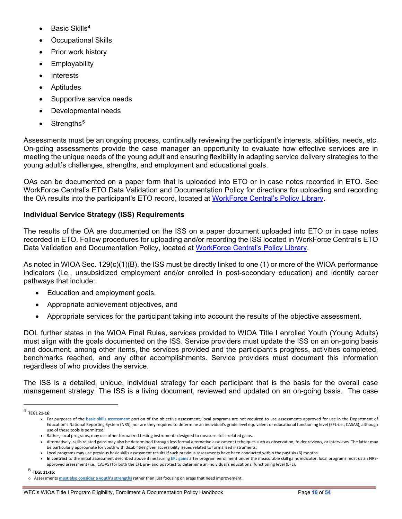- Basic Skills<sup>[4](#page-15-0)</sup>
- Occupational Skills
- Prior work history
- **Employability**
- Interests
- Aptitudes
- Supportive service needs
- Developmental needs
- Strengths<sup>[5](#page-15-1)</sup>

Assessments must be an ongoing process, continually reviewing the participant's interests, abilities, needs, etc. On-going assessments provide the case manager an opportunity to evaluate how effective services are in meeting the unique needs of the young adult and ensuring flexibility in adapting service delivery strategies to the young adult's challenges, strengths, and employment and educational goals.

OAs can be documented on a paper form that is uploaded into ETO or in case notes recorded in ETO. See WorkForce Central's ETO Data Validation and Documentation Policy for directions for uploading and recording the OA results into the participant's ETO record, located at [WorkForce Central's Policy Library.](https://workforce-central.org/about/policies/)

#### **Individual Service Strategy (ISS) Requirements**

The results of the OA are documented on the ISS on a paper document uploaded into ETO or in case notes recorded in ETO. Follow procedures for uploading and/or recording the ISS located in WorkForce Central's ETO Data Validation and Documentation Policy, located at [WorkForce Central's Policy Library.](https://workforce-central.org/about/policies/)

As noted in WIOA Sec. 129(c)(1)(B), the ISS must be directly linked to one (1) or more of the WIOA performance indicators (i.e., unsubsidized employment and/or enrolled in post-secondary education) and identify career pathways that include:

- Education and employment goals,
- Appropriate achievement objectives, and
- Appropriate services for the participant taking into account the results of the objective assessment.

DOL further states in the WIOA Final Rules, services provided to WIOA Title I enrolled Youth (Young Adults) must align with the goals documented on the ISS. Service providers must update the ISS on an on-going basis and document, among other items, the services provided and the participant's progress, activities completed, benchmarks reached, and any other accomplishments. Service providers must document this information regardless of who provides the service.

The ISS is a detailed, unique, individual strategy for each participant that is the basis for the overall case management strategy. The ISS is a living document, reviewed and updated on an on-going basis. The case

<span id="page-15-1"></span><sup>5</sup> **TEGL 21-16:**

<span id="page-15-0"></span><sup>4</sup> **TEGL 21-16:** 

<sup>•</sup> For purposes of the **basic skills assessment** portion of the objective assessment, local programs are not required to use assessments approved for use in the Department of Education's National Reporting System (NRS), nor are they required to determine an individual's grade level equivalent or educational functioning level (EFL-i.e., CASAS), although use of these tools is permitted.

<sup>•</sup> Rather, local programs, may use other formalized testing instruments designed to measure skills-related gains.

<sup>•</sup> Alternatively, skills related gains may also be determined through less formal alternative assessment techniques such as observation, folder reviews, or interviews. The latter may be particularly appropriate for youth with disabilities given accessibility issues related to formalized instruments.

<sup>•</sup> Local programs may use previous basic skills assessment results if such previous assessments have been conducted within the past six (6) months.

<sup>•</sup> **In contrast** to the initial assessment described above if measuring **EFL gains** after program enrollment under the measurable skill gains indicator, local programs must us an NRSapproved assessment (i.e., CASAS) for both the EFL pre- and post-test to determine an individual's educational functioning level (EFL).

o Assessments **must also consider a youth's strengths** rather than just focusing on areas that need improvement.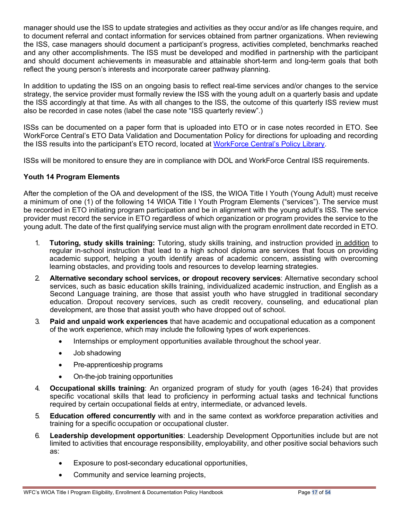manager should use the ISS to update strategies and activities as they occur and/or as life changes require, and to document referral and contact information for services obtained from partner organizations. When reviewing the ISS, case managers should document a participant's progress, activities completed, benchmarks reached and any other accomplishments. The ISS must be developed and modified in partnership with the participant and should document achievements in measurable and attainable short-term and long-term goals that both reflect the young person's interests and incorporate career pathway planning.

In addition to updating the ISS on an ongoing basis to reflect real-time services and/or changes to the service strategy, the service provider must formally review the ISS with the young adult on a quarterly basis and update the ISS accordingly at that time. As with all changes to the ISS, the outcome of this quarterly ISS review must also be recorded in case notes (label the case note "ISS quarterly review".)

ISSs can be documented on a paper form that is uploaded into ETO or in case notes recorded in ETO. See WorkForce Central's ETO Data Validation and Documentation Policy for directions for uploading and recording the ISS results into the participant's ETO record, located at [WorkForce Central's Policy Library.](https://workforce-central.org/about/policies/)

ISSs will be monitored to ensure they are in compliance with DOL and WorkForce Central ISS requirements.

#### **Youth 14 Program Elements**

After the completion of the OA and development of the ISS, the WIOA Title I Youth (Young Adult) must receive a minimum of one (1) of the following 14 WIOA Title I Youth Program Elements ("services"). The service must be recorded in ETO initiating program participation and be in alignment with the young adult's ISS. The service provider must record the service in ETO regardless of which organization or program provides the service to the young adult. The date of the first qualifying service must align with the program enrollment date recorded in ETO.

- 1. **Tutoring, study skills training:** Tutoring, study skills training, and instruction provided in addition to regular in-school instruction that lead to a high school diploma are services that focus on providing academic support, helping a youth identify areas of academic concern, assisting with overcoming learning obstacles, and providing tools and resources to develop learning strategies.
- 2. **Alternative secondary school services, or dropout recovery services**: Alternative secondary school services, such as basic education skills training, individualized academic instruction, and English as a Second Language training, are those that assist youth who have struggled in traditional secondary education. Dropout recovery services, such as credit recovery, counseling, and educational plan development, are those that assist youth who have dropped out of school.
- 3. **Paid and unpaid work experiences** that have academic and occupational education as a component of the work experience, which may include the following types of work experiences.
	- Internships or employment opportunities available throughout the school year.
	- Job shadowing
	- Pre-apprenticeship programs
	- On-the-job training opportunities
- 4. **Occupational skills training**: An organized program of study for youth (ages 16-24) that provides specific vocational skills that lead to proficiency in performing actual tasks and technical functions required by certain occupational fields at entry, intermediate, or advanced levels.
- 5. **Education offered concurrently** with and in the same context as workforce preparation activities and training for a specific occupation or occupational cluster.
- 6. **Leadership development opportunities**: Leadership Development Opportunities include but are not limited to activities that encourage responsibility, employability, and other positive social behaviors such as:
	- Exposure to post-secondary educational opportunities,
	- Community and service learning projects,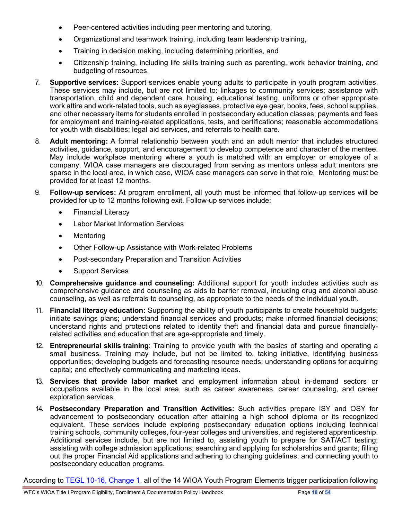- Peer-centered activities including peer mentoring and tutoring,
- Organizational and teamwork training, including team leadership training,
- Training in decision making, including determining priorities, and
- Citizenship training, including life skills training such as parenting, work behavior training, and budgeting of resources.
- 7. **Supportive services:** Support services enable young adults to participate in youth program activities. These services may include, but are not limited to: linkages to community services; assistance with transportation, child and dependent care, housing, educational testing, uniforms or other appropriate work attire and work-related tools, such as eyeglasses, protective eye gear, books, fees, school supplies, and other necessary items for students enrolled in postsecondary education classes; payments and fees for employment and training-related applications, tests, and certifications; reasonable accommodations for youth with disabilities; legal aid services, and referrals to health care.
- 8. **Adult mentoring:** A formal relationship between youth and an adult mentor that includes structured activities, guidance, support, and encouragement to develop competence and character of the mentee. May include workplace mentoring where a youth is matched with an employer or employee of a company. WIOA case managers are discouraged from serving as mentors unless adult mentors are sparse in the local area, in which case, WIOA case managers can serve in that role. Mentoring must be provided for at least 12 months.
- 9. **Follow-up services:** At program enrollment, all youth must be informed that follow-up services will be provided for up to 12 months following exit. Follow-up services include:
	- Financial Literacy
	- Labor Market Information Services
	- Mentoring
	- Other Follow-up Assistance with Work-related Problems
	- Post-secondary Preparation and Transition Activities
	- Support Services
- 10. **Comprehensive guidance and counseling:** Additional support for youth includes activities such as comprehensive guidance and counseling as aids to barrier removal, including drug and alcohol abuse counseling, as well as referrals to counseling, as appropriate to the needs of the individual youth.
- 11. **Financial literacy education:** Supporting the ability of youth participants to create household budgets; initiate savings plans; understand financial services and products; make informed financial decisions; understand rights and protections related to identity theft and financial data and pursue financiallyrelated activities and education that are age-appropriate and timely.
- 12. **Entrepreneurial skills training**: Training to provide youth with the basics of starting and operating a small business. Training may include, but not be limited to, taking initiative, identifying business opportunities; developing budgets and forecasting resource needs; understanding options for acquiring capital; and effectively communicating and marketing ideas.
- 13. **Services that provide labor market** and employment information about in-demand sectors or occupations available in the local area, such as career awareness, career counseling, and career exploration services.
- 14. **Postsecondary Preparation and Transition Activities:** Such activities prepare ISY and OSY for advancement to postsecondary education after attaining a high school diploma or its recognized equivalent. These services include exploring postsecondary education options including technical training schools, community colleges, four-year colleges and universities, and registered apprenticeship. Additional services include, but are not limited to, assisting youth to prepare for SAT/ACT testing; assisting with college admission applications; searching and applying for scholarships and grants; filling out the proper Financial Aid applications and adhering to changing guidelines; and connecting youth to postsecondary education programs.

According to [TEGL 10-16, Change 1,](https://wdr.doleta.gov/directives/corr_doc.cfm?DOCN=3255) all of the 14 WIOA Youth Program Elements trigger participation following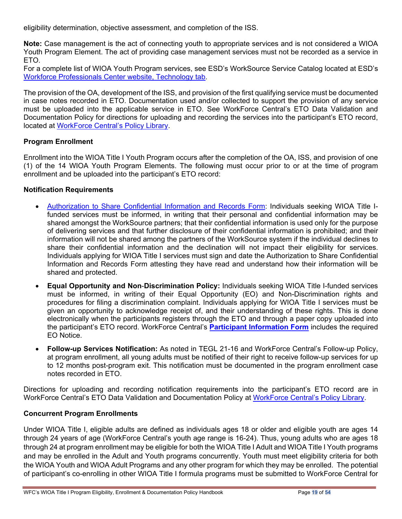eligibility determination, objective assessment, and completion of the ISS.

**Note:** Case management is the act of connecting youth to appropriate services and is not considered a WIOA Youth Program Element. The act of providing case management services must not be recorded as a service in ETO.

For a complete list of WIOA Youth Program services, see ESD's WorkSource Service Catalog located at ESD's [Workforce Professionals Center website, Technology tab.](https://wpc.wa.gov/tech)

The provision of the OA, development of the ISS, and provision of the first qualifying service must be documented in case notes recorded in ETO. Documentation used and/or collected to support the provision of any service must be uploaded into the applicable service in ETO. See WorkForce Central's ETO Data Validation and Documentation Policy for directions for uploading and recording the services into the participant's ETO record, located at [WorkForce Central's Policy Library.](https://workforce-central.org/about/policies/)

#### **Program Enrollment**

Enrollment into the WIOA Title I Youth Program occurs after the completion of the OA, ISS, and provision of one (1) of the 14 WIOA Youth Program Elements. The following must occur prior to or at the time of program enrollment and be uploaded into the participant's ETO record:

#### **Notification Requirements**

- [Authorization to Share Confidential Information and Records Form:](https://workforce-central.org/wp-content/uploads/2021/04/authorization-to-share-confidential-information-and-records.pdf) Individuals seeking WIOA Title Ifunded services must be informed, in writing that their personal and confidential information may be shared amongst the WorkSource partners; that their confidential information is used only for the purpose of delivering services and that further disclosure of their confidential information is prohibited; and their information will not be shared among the partners of the WorkSource system if the individual declines to share their confidential information and the declination will not impact their eligibility for services. Individuals applying for WIOA Title I services must sign and date the Authorization to Share Confidential Information and Records Form attesting they have read and understand how their information will be shared and protected.
- **Equal Opportunity and Non**-**Discrimination Policy:** Individuals seeking WIOA Title I-funded services must be informed, in writing of their Equal Opportunity (EO) and Non-Discrimination rights and procedures for filing a discrimination complaint. Individuals applying for WIOA Title I services must be given an opportunity to acknowledge receipt of, and their understanding of these rights. This is done electronically when the participants registers through the ETO and through a paper copy uploaded into the participant's ETO record. WorkForce Central's **[Participant Information Form](https://workforce-central.org/wp-content/uploads/2021/06/program-participation-information-june-2021.pdf)** includes the required EO Notice.
- **Follow-up Services Notification:** As noted in TEGL 21-16 and WorkForce Central's Follow-up Policy, at program enrollment, all young adults must be notified of their right to receive follow-up services for up to 12 months post-program exit. This notification must be documented in the program enrollment case notes recorded in ETO.

Directions for uploading and recording notification requirements into the participant's ETO record are in WorkForce Central's ETO Data Validation and Documentation Policy at [WorkForce Central's Policy Library.](https://workforce-central.org/about/policies/)

#### <span id="page-18-0"></span>**Concurrent Program Enrollments**

Under WIOA Title I, eligible adults are defined as individuals ages 18 or older and eligible youth are ages 14 through 24 years of age (WorkForce Central's youth age range is 16-24). Thus, young adults who are ages 18 through 24 at program enrollment may be eligible for both the WIOA Title I Adult and WIOA Title I Youth programs and may be enrolled in the Adult and Youth programs concurrently. Youth must meet eligibility criteria for both the WIOA Youth and WIOA Adult Programs and any other program for which they may be enrolled. The potential of participant's co-enrolling in other WIOA Title I formula programs must be submitted to WorkForce Central for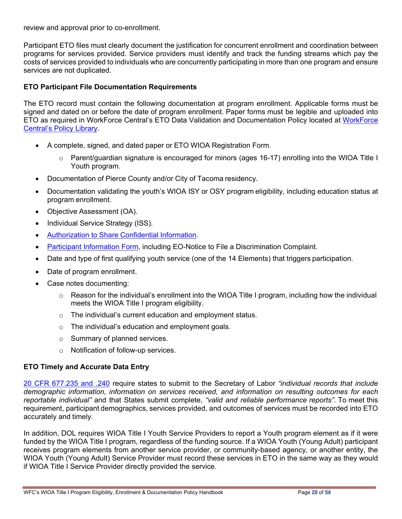review and approval prior to co-enrollment.

Participant ETO files must clearly document the justification for concurrent enrollment and coordination between programs for services provided. Service providers must identify and track the funding streams which pay the costs of services provided to individuals who are concurrently participating in more than one program and ensure services are not duplicated.

#### <span id="page-19-0"></span>**ETO Participant File Documentation Requirements**

The ETO record must contain the following documentation at program enrollment. Applicable forms must be signed and dated on or before the date of program enrollment. Paper forms must be legible and uploaded into ETO as required in WorkForce Central's ETO Data Validation and Documentation Policy located at [WorkForce](https://workforce-central.org/about/policies/)  [Central's Policy Library.](https://workforce-central.org/about/policies/)

- A complete, signed, and dated paper or ETO WIOA Registration Form*.*
	- $\circ$  Parent/guardian signature is encouraged for minors (ages 16-17) enrolling into the WIOA Title I Youth program.
- Documentation of Pierce County and/or City of Tacoma residency.
- Documentation validating the youth's WIOA ISY or OSY program eligibility, including education status at program enrollment.
- Objective Assessment (OA).
- Individual Service Strategy (ISS).
- **[Authorization](https://workforce-central.org/wp-content/uploads/2021/04/authorization-to-share-confidential-information-and-records.pdf) to Share Confidential Information.**
- [Participant Information Form,](https://workforce-central.org/wp-content/uploads/2021/06/program-participation-information-june-2021.pdf) including EO-Notice to File a Discrimination Complaint.
- Date and type of first qualifying youth service (one of the 14 Elements) that triggers participation.
- Date of program enrollment.
- Case notes documenting:
	- $\circ$  Reason for the individual's enrollment into the WIOA Title I program, including how the individual meets the WIOA Title I program eligibility.
	- $\circ$  The individual's current education and employment status.
	- $\circ$  The individual's education and employment goals.
	- o Summary of planned services.
	- o Notification of follow-up services.

#### <span id="page-19-1"></span>**ETO Timely and Accurate Data Entry**

[20 CFR 677.235 and .240](https://www.govinfo.gov/content/pkg/CFR-2017-title20-vol4/pdf/CFR-2017-title20-vol4-part677.pdf) require states to submit to the Secretary of Labor *"individual records that include demographic information, information on services received, and information on resulting outcomes for each reportable individual"* and that States submit complete, *"valid and reliable performance reports"*. To meet this requirement, participant demographics, services provided, and outcomes of services must be recorded into ETO accurately and timely.

In addition, DOL requires WIOA Title I Youth Service Providers to report a Youth program element as if it were funded by the WIOA Title I program, regardless of the funding source. If a WIOA Youth (Young Adult) participant receives program elements from another service provider, or community-based agency, or another entity, the WIOA Youth (Young Adult) Service Provider must record these services in ETO in the same way as they would if WIOA Title I Service Provider directly provided the service.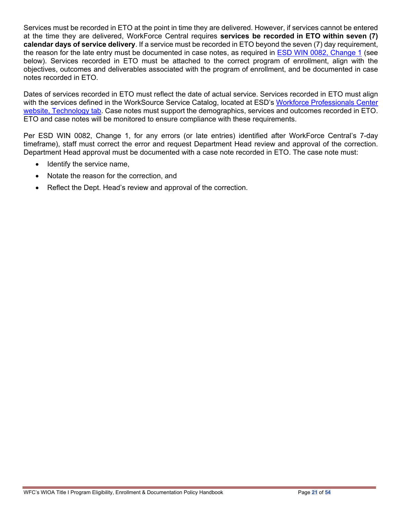Services must be recorded in ETO at the point in time they are delivered. However, if services cannot be entered at the time they are delivered, WorkForce Central requires **services be recorded in ETO within seven (7) calendar days of service delivery**. If a service must be recorded in ETO beyond the seven (7) day requirement, the reason for the late entry must be documented in case notes, as required in [ESD WIN 0082, Change 1](https://storemultisites.blob.core.windows.net/media/WPC/adm/policy/0082-1.pdf) (see below). Services recorded in ETO must be attached to the correct program of enrollment, align with the objectives, outcomes and deliverables associated with the program of enrollment, and be documented in case notes recorded in ETO.

Dates of services recorded in ETO must reflect the date of actual service. Services recorded in ETO must align with the services defined in the WorkSource Service Catalog, located at ESD's [Workforce Professionals Center](https://wpc.wa.gov/tech)  [website, Technology tab.](https://wpc.wa.gov/tech) Case notes must support the demographics, services and outcomes recorded in ETO. ETO and case notes will be monitored to ensure compliance with these requirements.

Per ESD WIN 0082, Change 1, for any errors (or late entries) identified after WorkForce Central's 7-day timeframe), staff must correct the error and request Department Head review and approval of the correction. Department Head approval must be documented with a case note recorded in ETO. The case note must:

- Identify the service name,
- Notate the reason for the correction, and
- Reflect the Dept. Head's review and approval of the correction.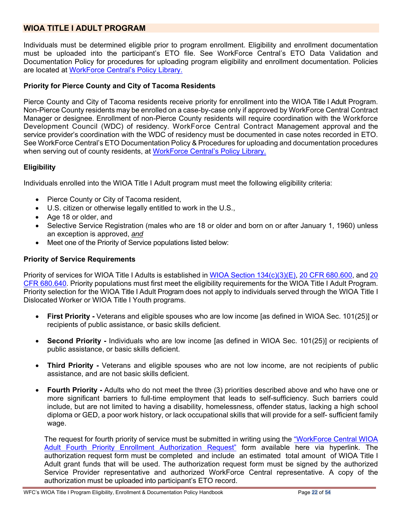# <span id="page-21-0"></span>**WIOA TITLE I ADULT PROGRAM**

Individuals must be determined eligible prior to program enrollment. Eligibility and enrollment documentation must be uploaded into the participant's ETO file. See WorkForce Central's ETO Data Validation and Documentation Policy for procedures for uploading program eligibility and enrollment documentation. Policies are located at [WorkForce Central's Policy Library.](https://workforce-central.org/about/policies/)

#### **Priority for Pierce County and City of Tacoma Residents**

Pierce County and City of Tacoma residents receive priority for enrollment into the WIOA Title I Adult Program. Non-Pierce County residents may be enrolled on a case-by-case only if approved by WorkForce Central Contract Manager or designee. Enrollment of non-Pierce County residents will require coordination with the Workforce Development Council (WDC) of residency. WorkForce Central Contract Management approval and the service provider's coordination with the WDC of residency must be documented in case notes recorded in ETO. See WorkForce Central's ETO Documentation Policy & Procedures for uploading and documentation procedures when serving out of county residents, at [WorkForce Central's Policy Library.](https://workforce-central.org/about/policies/)

#### <span id="page-21-1"></span>**Eligibility**

Individuals enrolled into the WIOA Title I Adult program must meet the following eligibility criteria:

- Pierce County or City of Tacoma resident,
- U.S. citizen or otherwise legally entitled to work in the U.S.,
- Age 18 or older, and
- Selective Service Registration (males who are 18 or older and born on or after January 1, 1960) unless an exception is approved, *and*
- Meet one of the Priority of Service populations listed below:

#### <span id="page-21-2"></span>**Priority of Service Requirements**

Priority of services for WIOA Title I Adults is established in [WIOA Section 134\(c\)\(3\)\(E\),](https://www.congress.gov/113/bills/hr803/BILLS-113hr803enr.pdf) [20 CFR 680.600,](https://ecfr.io/Title-20/Part-680) and [20](https://ecfr.io/Title-20/Part-680)  [CFR 680.640.](https://ecfr.io/Title-20/Part-680) Priority populations must first meet the eligibility requirements for the WIOA Title I Adult Program. Priority selection for the WIOA Title I Adult Program does not apply to individuals served through the WIOA Title I Dislocated Worker or WIOA Title I Youth programs.

- **First Priority -** Veterans and eligible spouses who are low income [as defined in WIOA Sec. 101(25)] or recipients of public assistance, or basic skills deficient.
- **Second Priority -** Individuals who are low income [as defined in WIOA Sec. 101(25)] or recipients of public assistance, or basic skills deficient.
- **Third Priority -** Veterans and eligible spouses who are not low income, are not recipients of public assistance, and are not basic skills deficient.
- **Fourth Priority -** Adults who do not meet the three (3) priorities described above and who have one or more significant barriers to full-time employment that leads to self-sufficiency. Such barriers could include, but are not limited to having a disability, homelessness, offender status, lacking a high school diploma or GED, a poor work history, or lack occupational skills that will provide for a self- sufficient family wage.

The request for fourth priority of service must be submitted in writing using the "WorkForce [Central WIOA](https://workforce-central.org/wp-content/uploads/2021/07/adult-4th-priority-authorization-form.pdf)  [Adult Fourth Priority Enrollment Authorization Request"](https://workforce-central.org/wp-content/uploads/2021/07/adult-4th-priority-authorization-form.pdf) form available here via hyperlink. The authorization request form must be completed and include an estimated total amount of WIOA Title I Adult grant funds that will be used. The authorization request form must be signed by the authorized Service Provider representative and authorized WorkForce Central representative. A copy of the authorization must be uploaded into participant's ETO record.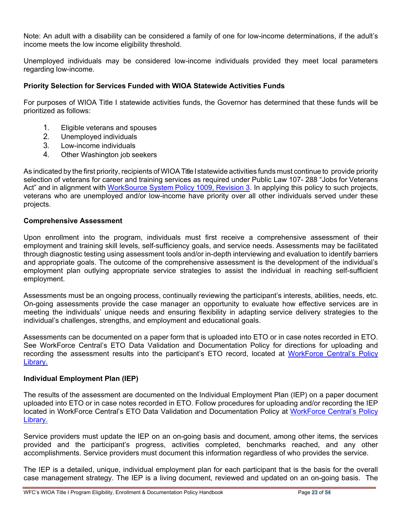Note: An adult with a disability can be considered a family of one for low-income determinations, if the adult's income meets the low income eligibility threshold.

Unemployed individuals may be considered low-income individuals provided they meet local parameters regarding low-income.

#### <span id="page-22-0"></span>**Priority Selection for Services Funded with WIOA Statewide Activities Funds**

For purposes of WIOA Title I statewide activities funds, the Governor has determined that these funds will be prioritized as follows:

- 1. Eligible veterans and spouses
- 2. Unemployed individuals
- 3. Low-income individuals
- 4. Other Washington job seekers

As indicated by the first priority, recipients of WIOA Title I statewide activities funds must continue to provide priority selection of veterans for career and training services as required under Public Law 107- 288 "Jobs for Veterans Act" and in alignment with [WorkSource](https://storemultisites.blob.core.windows.net/media/WPC/adm/policy/1009-3.pdf) System Policy 1009, Revision 3. In applying this policy to such projects, veterans who are unemployed and/or low-income have priority over all other individuals served under these projects.

#### **Comprehensive Assessment**

Upon enrollment into the program, individuals must first receive a comprehensive assessment of their employment and training skill levels, self-sufficiency goals, and service needs. Assessments may be facilitated through diagnostic testing using assessment tools and/or in-depth interviewing and evaluation to identify barriers and appropriate goals. The outcome of the comprehensive assessment is the development of the individual's employment plan outlying appropriate service strategies to assist the individual in reaching self-sufficient employment.

Assessments must be an ongoing process, continually reviewing the participant's interests, abilities, needs, etc. On-going assessments provide the case manager an opportunity to evaluate how effective services are in meeting the individuals' unique needs and ensuring flexibility in adapting service delivery strategies to the individual's challenges, strengths, and employment and educational goals.

Assessments can be documented on a paper form that is uploaded into ETO or in case notes recorded in ETO. See WorkForce Central's ETO Data Validation and Documentation Policy for directions for uploading and recording the assessment results into the participant's ETO record, located at WorkForce Central's Policy [Library.](https://workforce-central.org/about/policies/)

#### **Individual Employment Plan (IEP)**

The results of the assessment are documented on the Individual Employment Plan (IEP) on a paper document uploaded into ETO or in case notes recorded in ETO. Follow procedures for uploading and/or recording the IEP located in WorkForce Central's ETO Data Validation and Documentation Policy at [WorkForce Central's Policy](https://workforce-central.org/about/policies/)  [Library.](https://workforce-central.org/about/policies/)

Service providers must update the IEP on an on-going basis and document, among other items, the services provided and the participant's progress, activities completed, benchmarks reached, and any other accomplishments. Service providers must document this information regardless of who provides the service.

The IEP is a detailed, unique, individual employment plan for each participant that is the basis for the overall case management strategy. The IEP is a living document, reviewed and updated on an on-going basis. The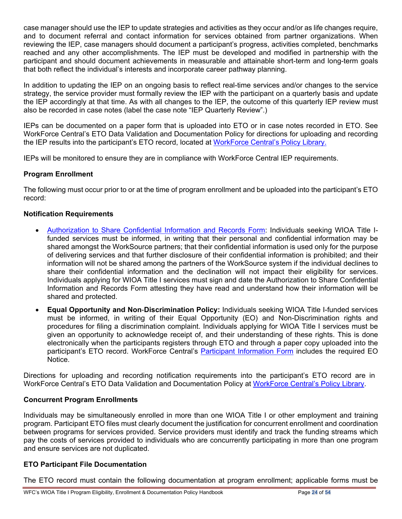case manager should use the IEP to update strategies and activities as they occur and/or as life changes require, and to document referral and contact information for services obtained from partner organizations. When reviewing the IEP, case managers should document a participant's progress, activities completed, benchmarks reached and any other accomplishments. The IEP must be developed and modified in partnership with the participant and should document achievements in measurable and attainable short-term and long-term goals that both reflect the individual's interests and incorporate career pathway planning.

In addition to updating the IEP on an ongoing basis to reflect real-time services and/or changes to the service strategy, the service provider must formally review the IEP with the participant on a quarterly basis and update the IEP accordingly at that time. As with all changes to the IEP, the outcome of this quarterly IEP review must also be recorded in case notes (label the case note "IEP Quarterly Review".)

IEPs can be documented on a paper form that is uploaded into ETO or in case notes recorded in ETO. See WorkForce Central's ETO Data Validation and Documentation Policy for directions for uploading and recording the IEP results into the participant's ETO record, located at [WorkForce Central's Policy Library.](https://workforce-central.org/about/policies/)

IEPs will be monitored to ensure they are in compliance with WorkForce Central IEP requirements.

#### **Program Enrollment**

The following must occur prior to or at the time of program enrollment and be uploaded into the participant's ETO record:

#### **Notification Requirements**

- [Authorization to Share Confidential Information and Records Form:](https://workforce-central.org/wp-content/uploads/2021/04/authorization-to-share-confidential-information-and-records.pdf) Individuals seeking WIOA Title Ifunded services must be informed, in writing that their personal and confidential information may be shared amongst the WorkSource partners; that their confidential information is used only for the purpose of delivering services and that further disclosure of their confidential information is prohibited; and their information will not be shared among the partners of the WorkSource system if the individual declines to share their confidential information and the declination will not impact their eligibility for services. Individuals applying for WIOA Title I services must sign and date the Authorization to Share Confidential Information and Records Form attesting they have read and understand how their information will be shared and protected.
- **Equal Opportunity and Non**-**Discrimination Policy:** Individuals seeking WIOA Title I-funded services must be informed, in writing of their Equal Opportunity (EO) and Non-Discrimination rights and procedures for filing a discrimination complaint. Individuals applying for WIOA Title I services must be given an opportunity to acknowledge receipt of, and their understanding of these rights. This is done electronically when the participants registers through ETO and through a paper copy uploaded into the participant's ETO record. WorkForce Central's [Participant Information Form](https://workforce-central.org/wp-content/uploads/2021/06/program-participation-information-june-2021.pdf) includes the required EO Notice.

Directions for uploading and recording notification requirements into the participant's ETO record are in WorkForce Central's ETO Data Validation and Documentation Policy at [WorkForce Central's Policy Library.](https://workforce-central.org/about/policies/)

#### <span id="page-23-0"></span>**Concurrent Program Enrollments**

Individuals may be simultaneously enrolled in more than one WIOA Title I or other employment and training program. Participant ETO files must clearly document the justification for concurrent enrollment and coordination between programs for services provided. Service providers must identify and track the funding streams which pay the costs of services provided to individuals who are concurrently participating in more than one program and ensure services are not duplicated.

#### <span id="page-23-1"></span>**ETO Participant File Documentation**

The ETO record must contain the following documentation at program enrollment; applicable forms must be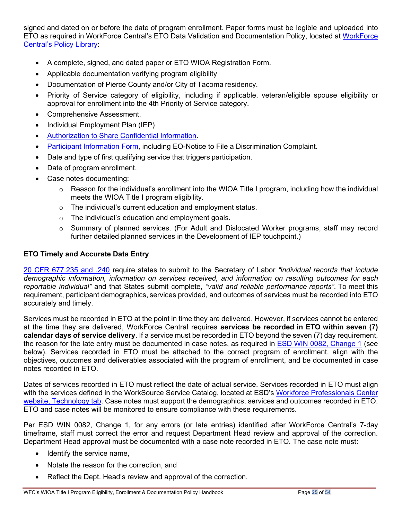signed and dated on or before the date of program enrollment. Paper forms must be legible and uploaded into ETO as required in WorkForce Central's ETO Data Validation and Documentation Policy, located at [WorkForce](https://workforce-central.org/about/policies/)  [Central's Policy Library:](https://workforce-central.org/about/policies/)

- A complete, signed, and dated paper or ETO WIOA Registration Form*.*
- Applicable documentation verifying program eligibility
- Documentation of Pierce County and/or City of Tacoma residency.
- Priority of Service category of eligibility, including if applicable, veteran/eligible spouse eligibility or approval for enrollment into the 4th Priority of Service category.
- Comprehensive Assessment.
- Individual Employment Plan (IEP)
- [Authorization](https://workforce-central.org/wp-content/uploads/2021/04/authorization-to-share-confidential-information-and-records.pdf) to Share Confidential Information.
- [Participant Information Form,](https://workforce-central.org/wp-content/uploads/2021/06/program-participation-information-june-2021.pdf) including EO-Notice to File a Discrimination Complaint.
- Date and type of first qualifying service that triggers participation.
- Date of program enrollment.
- Case notes documenting:
	- $\circ$  Reason for the individual's enrollment into the WIOA Title I program, including how the individual meets the WIOA Title I program eligibility.
	- o The individual's current education and employment status.
	- $\circ$  The individual's education and employment goals.
	- o Summary of planned services. (For Adult and Dislocated Worker programs, staff may record further detailed planned services in the Development of IEP touchpoint.)

#### <span id="page-24-0"></span>**ETO Timely and Accurate Data Entry**

[20 CFR 677.235 and .240](https://www.govinfo.gov/content/pkg/CFR-2017-title20-vol4/pdf/CFR-2017-title20-vol4-part677.pdf) require states to submit to the Secretary of Labor *"individual records that include demographic information, information on services received, and information on resulting outcomes for each reportable individual"* and that States submit complete, *"valid and reliable performance reports"*. To meet this requirement, participant demographics, services provided, and outcomes of services must be recorded into ETO accurately and timely.

Services must be recorded in ETO at the point in time they are delivered. However, if services cannot be entered at the time they are delivered, WorkForce Central requires **services be recorded in ETO within seven (7) calendar days of service delivery**. If a service must be recorded in ETO beyond the seven (7) day requirement, the reason for the late entry must be documented in case notes, as required in [ESD WIN 0082, Change 1](https://storemultisites.blob.core.windows.net/media/WPC/adm/policy/0082-1.pdf) (see below). Services recorded in ETO must be attached to the correct program of enrollment, align with the objectives, outcomes and deliverables associated with the program of enrollment, and be documented in case notes recorded in ETO.

Dates of services recorded in ETO must reflect the date of actual service. Services recorded in ETO must align with the services defined in the WorkSource Service Catalog, located at ESD's [Workforce Professionals Center](https://wpc.wa.gov/tech)  [website, Technology tab.](https://wpc.wa.gov/tech) Case notes must support the demographics, services and outcomes recorded in ETO. ETO and case notes will be monitored to ensure compliance with these requirements.

Per ESD WIN 0082, Change 1, for any errors (or late entries) identified after WorkForce Central's 7-day timeframe, staff must correct the error and request Department Head review and approval of the correction. Department Head approval must be documented with a case note recorded in ETO. The case note must:

- Identify the service name,
- Notate the reason for the correction, and
- Reflect the Dept. Head's review and approval of the correction.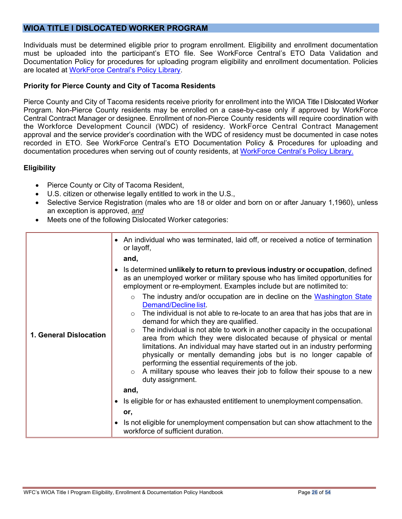# <span id="page-25-0"></span>**WIOA TITLE I DISLOCATED WORKER PROGRAM**

Individuals must be determined eligible prior to program enrollment. Eligibility and enrollment documentation must be uploaded into the participant's ETO file. See WorkForce Central's ETO Data Validation and Documentation Policy for procedures for uploading program eligibility and enrollment documentation. Policies are located at [WorkForce Central's Policy Library.](https://workforce-central.org/about/policies/)

#### **Priority for Pierce County and City of Tacoma Residents**

Pierce County and City of Tacoma residents receive priority for enrollment into the WIOA Title I Dislocated Worker Program. Non-Pierce County residents may be enrolled on a case-by-case only if approved by WorkForce Central Contract Manager or designee. Enrollment of non-Pierce County residents will require coordination with the Workforce Development Council (WDC) of residency. WorkForce Central Contract Management approval and the service provider's coordination with the WDC of residency must be documented in case notes recorded in ETO. See WorkForce Central's ETO Documentation Policy & Procedures for uploading and documentation procedures when serving out of county residents, at [WorkForce Central's Policy Library.](https://workforce-central.org/about/policies/)

#### <span id="page-25-1"></span>**Eligibility**

- Pierce County or City of Tacoma Resident,
- U.S. citizen or otherwise legally entitled to work in the U.S.,
- Selective Service Registration (males who are 18 or older and born on or after January 1,1960), unless an exception is approved, *and*
- Meets one of the following Dislocated Worker categories:

|                        | • An individual who was terminated, laid off, or received a notice of termination<br>or layoff,<br>and,<br>Is determined unlikely to return to previous industry or occupation, defined<br>as an unemployed worker or military spouse who has limited opportunities for                                                                                                                                                                                                                                                                                                                                                                                                                                                                                                                            |
|------------------------|----------------------------------------------------------------------------------------------------------------------------------------------------------------------------------------------------------------------------------------------------------------------------------------------------------------------------------------------------------------------------------------------------------------------------------------------------------------------------------------------------------------------------------------------------------------------------------------------------------------------------------------------------------------------------------------------------------------------------------------------------------------------------------------------------|
| 1. General Dislocation | employment or re-employment. Examples include but are notlimited to:<br>The industry and/or occupation are in decline on the Washington State<br>$\circ$<br>Demand/Decline list.<br>The individual is not able to re-locate to an area that has jobs that are in<br>$\circ$<br>demand for which they are qualified.<br>The individual is not able to work in another capacity in the occupational<br>$\circ$<br>area from which they were dislocated because of physical or mental<br>limitations. An individual may have started out in an industry performing<br>physically or mentally demanding jobs but is no longer capable of<br>performing the essential requirements of the job.<br>A military spouse who leaves their job to follow their spouse to a new<br>$\circ$<br>duty assignment. |
|                        | and,<br>Is eligible for or has exhausted entitlement to unemployment compensation.                                                                                                                                                                                                                                                                                                                                                                                                                                                                                                                                                                                                                                                                                                                 |
|                        | or,                                                                                                                                                                                                                                                                                                                                                                                                                                                                                                                                                                                                                                                                                                                                                                                                |
|                        | Is not eligible for unemployment compensation but can show attachment to the<br>workforce of sufficient duration.                                                                                                                                                                                                                                                                                                                                                                                                                                                                                                                                                                                                                                                                                  |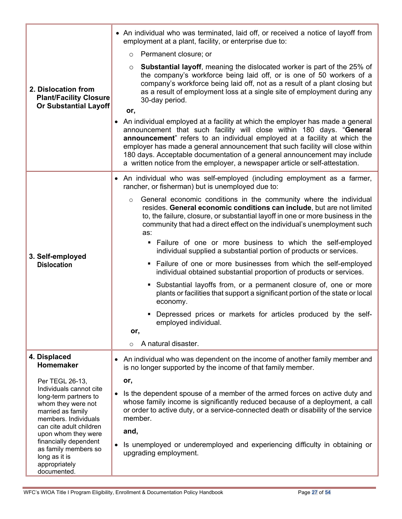|                                                                                                                                                | • An individual who was terminated, laid off, or received a notice of layoff from<br>employment at a plant, facility, or enterprise due to:                                                                                                                                                                                                                                                                                                                                       |  |
|------------------------------------------------------------------------------------------------------------------------------------------------|-----------------------------------------------------------------------------------------------------------------------------------------------------------------------------------------------------------------------------------------------------------------------------------------------------------------------------------------------------------------------------------------------------------------------------------------------------------------------------------|--|
|                                                                                                                                                | Permanent closure; or<br>$\circ$                                                                                                                                                                                                                                                                                                                                                                                                                                                  |  |
| 2. Dislocation from<br><b>Plant/Facility Closure</b><br><b>Or Substantial Layoff</b>                                                           | <b>Substantial layoff, meaning the dislocated worker is part of the 25% of</b><br>$\circ$<br>the company's workforce being laid off, or is one of 50 workers of a<br>company's workforce being laid off, not as a result of a plant closing but<br>as a result of employment loss at a single site of employment during any<br>30-day period.<br>or,                                                                                                                              |  |
|                                                                                                                                                | • An individual employed at a facility at which the employer has made a general<br>announcement that such facility will close within 180 days. "General<br>announcement" refers to an individual employed at a facility at which the<br>employer has made a general announcement that such facility will close within<br>180 days. Acceptable documentation of a general announcement may include<br>a written notice from the employer, a newspaper article or self-attestation. |  |
|                                                                                                                                                | An individual who was self-employed (including employment as a farmer,<br>$\bullet$<br>rancher, or fisherman) but is unemployed due to:                                                                                                                                                                                                                                                                                                                                           |  |
|                                                                                                                                                | General economic conditions in the community where the individual<br>$\circ$<br>resides. General economic conditions can include, but are not limited<br>to, the failure, closure, or substantial layoff in one or more business in the<br>community that had a direct effect on the individual's unemployment such<br>as:<br>. Failure of one or more business to which the self-employed                                                                                        |  |
| 3. Self-employed                                                                                                                               | individual supplied a substantial portion of products or services.                                                                                                                                                                                                                                                                                                                                                                                                                |  |
| <b>Dislocation</b>                                                                                                                             | • Failure of one or more businesses from which the self-employed<br>individual obtained substantial proportion of products or services.                                                                                                                                                                                                                                                                                                                                           |  |
|                                                                                                                                                | • Substantial layoffs from, or a permanent closure of, one or more<br>plants or facilities that support a significant portion of the state or local<br>economy.                                                                                                                                                                                                                                                                                                                   |  |
|                                                                                                                                                | • Depressed prices or markets for articles produced by the self-<br>employed individual.<br>or,                                                                                                                                                                                                                                                                                                                                                                                   |  |
|                                                                                                                                                | A natural disaster.<br>$\circ$                                                                                                                                                                                                                                                                                                                                                                                                                                                    |  |
| 4. Displaced<br>Homemaker                                                                                                                      | An individual who was dependent on the income of another family member and<br>$\bullet$<br>is no longer supported by the income of that family member.                                                                                                                                                                                                                                                                                                                            |  |
| Per TEGL 26-13,                                                                                                                                | or,                                                                                                                                                                                                                                                                                                                                                                                                                                                                               |  |
| Individuals cannot cite<br>long-term partners to<br>whom they were not<br>married as family<br>members. Individuals<br>can cite adult children | Is the dependent spouse of a member of the armed forces on active duty and<br>$\bullet$<br>whose family income is significantly reduced because of a deployment, a call<br>or order to active duty, or a service-connected death or disability of the service<br>member.                                                                                                                                                                                                          |  |
| upon whom they were<br>financially dependent<br>as family members so<br>long as it is<br>appropriately<br>documented.                          | and,<br>Is unemployed or underemployed and experiencing difficulty in obtaining or<br>upgrading employment.                                                                                                                                                                                                                                                                                                                                                                       |  |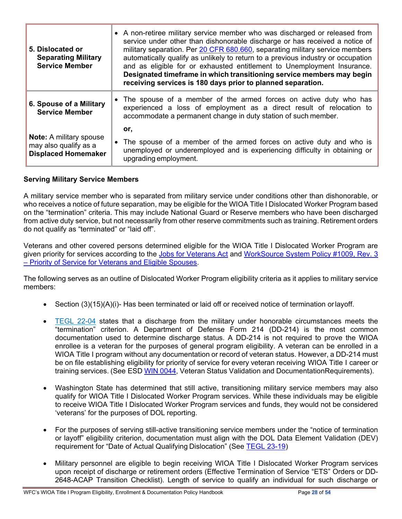| • A non-retiree military service member who was discharged or released from<br>service under other than dishonorable discharge or has received a notice of<br>military separation. Per 20 CFR 680.660, separating military service members<br>5. Dislocated or<br>automatically qualify as unlikely to return to a previous industry or occupation<br><b>Separating Military</b><br><b>Service Member</b><br>and as eligible for or exhausted entitlement to Unemployment Insurance.<br>Designated timeframe in which transitioning service members may begin<br>receiving services is 180 days prior to planned separation. |                                                                                                                                                                             |
|------------------------------------------------------------------------------------------------------------------------------------------------------------------------------------------------------------------------------------------------------------------------------------------------------------------------------------------------------------------------------------------------------------------------------------------------------------------------------------------------------------------------------------------------------------------------------------------------------------------------------|-----------------------------------------------------------------------------------------------------------------------------------------------------------------------------|
| • The spouse of a member of the armed forces on active duty who has<br>6. Spouse of a Military<br>experienced a loss of employment as a direct result of relocation to<br><b>Service Member</b><br>accommodate a permanent change in duty station of such member.                                                                                                                                                                                                                                                                                                                                                            |                                                                                                                                                                             |
|                                                                                                                                                                                                                                                                                                                                                                                                                                                                                                                                                                                                                              | or,                                                                                                                                                                         |
| <b>Note:</b> A military spouse<br>may also qualify as a<br><b>Displaced Homemaker</b>                                                                                                                                                                                                                                                                                                                                                                                                                                                                                                                                        | The spouse of a member of the armed forces on active duty and who is<br>unemployed or underemployed and is experiencing difficulty in obtaining or<br>upgrading employment. |

#### <span id="page-27-0"></span>**Serving Military Service Members**

A military service member who is separated from military service under conditions other than dishonorable, or who receives a notice of future separation, may be eligible for the WIOA Title I Dislocated Worker Program based on the "termination" criteria. This may include National Guard or Reserve members who have been discharged from active duty service, but not necessarily from other reserve commitments such as training. Retirement orders do not qualify as "terminated" or "laid off".

Veterans and other covered persons determined eligible for the WIOA Title I Dislocated Worker Program are given priority for services according to the [Jobs for Veterans Act](https://www.congress.gov/107/plaws/publ288/PLAW-107publ288.pdf) and [WorkSource System Policy #1009, Rev. 3](https://storemultisites.blob.core.windows.net/media/WPC/adm/policy/1009-3.pdf) – [Priority of Service for Veterans and Eligible Spouses.](https://storemultisites.blob.core.windows.net/media/WPC/adm/policy/1009-3.pdf)

The following serves as an outline of Dislocated Worker Program eligibility criteria as it applies to military service members:

- Section (3)(15)(A)(i)- Has been terminated or laid off or received notice of termination or layoff.
- [TEGL](http://wdr.doleta.gov/directives/corr_doc.cfm?DOCN=1699) 22-04 states that a discharge from the military under honorable circumstances meets the "termination" criterion. A Department of Defense Form 214 (DD-214) is the most common documentation used to determine discharge status. A DD-214 is not required to prove the WIOA enrollee is a veteran for the purposes of general program eligibility. A veteran can be enrolled in a WIOA Title I program without any documentation or record of veteran status. However, a DD-214 must be on file establishing eligibility for priority of service for every veteran receiving WIOA Title I career or training services. (See ESD WIN [0044,](https://storemultisites.blob.core.windows.net/media/WPC/adm/policy/0044.pdf) Veteran Status Validation and DocumentationRequirements).
- Washington State has determined that still active, transitioning military service members may also qualify for WIOA Title I Dislocated Worker Program services. While these individuals may be eligible to receive WIOA Title I Dislocated Worker Program services and funds, they would not be considered 'veterans' for the purposes of DOL reporting.
- For the purposes of serving still-active transitioning service members under the "notice of termination or layoff" eligibility criterion, documentation must align with the DOL Data Element Validation (DEV) requirement for "Date of Actual Qualifying Dislocation" (See [TEGL 23-19\)](https://wdr.doleta.gov/directives/attach/TEGL/TEGL_23-19_Attachment_2.pdf)
- Military personnel are eligible to begin receiving WIOA Title I Dislocated Worker Program services upon receipt of discharge or retirement orders (Effective Termination of Service "ETS" Orders or DD-2648-ACAP Transition Checklist). Length of service to qualify an individual for such discharge or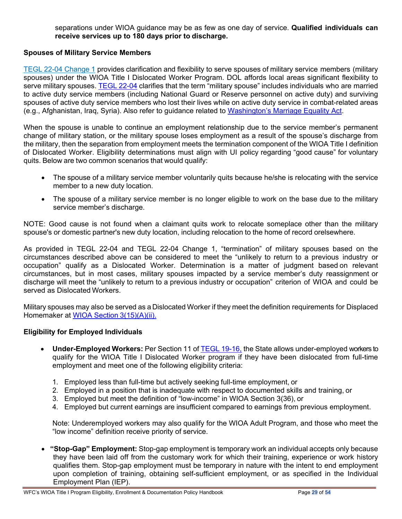separations under WIOA guidance may be as few as one day of service. **Qualified individuals can receive services up to 180 days prior to discharge.**

#### <span id="page-28-0"></span>**Spouses of Military Service Members**

TEGL 22-04 [Change](https://wdr.doleta.gov/directives/corr_doc.cfm?DOCN=2540) 1 provides clarification and flexibility to serve spouses of military service members (military spouses) under the WIOA Title I Dislocated Worker Program. DOL affords local areas significant flexibility to serve military spouses. [TEGL](https://wdr.doleta.gov/directives/corr_doc.cfm?DOCN=1699) 22-04 clarifies that the term "military spouse" includes individuals who are married to active duty service members (including National Guard or Reserve personnel on active duty) and surviving spouses of active duty service members who lost their lives while on active duty service in combat-related areas (e.g., Afghanistan, Iraq, Syria). Also refer to guidance related to [Washington's Marriage Equality Act.](https://wdr.doleta.gov/directives/corr_doc.cfm?DOCN=2540)

When the spouse is unable to continue an employment relationship due to the service member's permanent change of military station, or the military spouse loses employment as a result of the spouse's discharge from the military, then the separation from employment meets the termination component of the WIOA Title I definition of Dislocated Worker. Eligibility determinations must align with UI policy regarding "good cause" for voluntary quits. Below are two common scenarios that would qualify:

- The spouse of a military service member voluntarily quits because he/she is relocating with the service member to a new duty location.
- The spouse of a military service member is no longer eligible to work on the base due to the military service member's discharge.

NOTE: Good cause is not found when a claimant quits work to relocate someplace other than the military spouse's or domestic partner's new duty location, including relocation to the home of record orelsewhere.

As provided in TEGL 22-04 and TEGL 22-04 Change 1, "termination" of military spouses based on the circumstances described above can be considered to meet the "unlikely to return to a previous industry or occupation" qualify as a Dislocated Worker. Determination is a matter of judgment based on relevant circumstances, but in most cases, military spouses impacted by a service member's duty reassignment or discharge will meet the "unlikely to return to a previous industry or occupation" criterion of WIOA and could be served as Dislocated Workers.

Military spouses may also be served as a Dislocated Worker if they meet the definition requirements for Displaced Homemaker at [WIOA Section](https://wdr.doleta.gov/directives/attach/TEGL/TEGL_19-16_Attachment_III.pdf) 3(15)(A)(ii).

#### <span id="page-28-1"></span>**Eligibility for Employed Individuals**

- **Under-Employed Workers:** Per Section 11 of TEGL [19-16,](https://wdr.doleta.gov/directives/corr_doc.cfm?DOCN=3851) the State allows under-employed workers to qualify for the WIOA Title I Dislocated Worker program if they have been dislocated from full-time employment and meet one of the following eligibility criteria:
	- 1. Employed less than full-time but actively seeking full-time employment, or
	- 2. Employed in a position that is inadequate with respect to documented skills and training, or
	- 3. Employed but meet the definition of "low-income" in WIOA Section 3(36), or
	- 4. Employed but current earnings are insufficient compared to earnings from previous employment.

Note: Underemployed workers may also qualify for the WIOA Adult Program, and those who meet the "low income" definition receive priority of service.

• **"Stop-Gap" Employment:** Stop-gap employment is temporary work an individual accepts only because they have been laid off from the customary work for which their training, experience or work history qualifies them. Stop-gap employment must be temporary in nature with the intent to end employment upon completion of training, obtaining self-sufficient employment, or as specified in the Individual Employment Plan (IEP).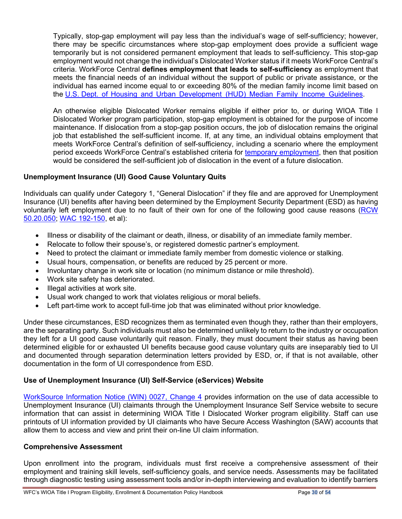Typically, stop-gap employment will pay less than the individual's wage of self-sufficiency; however, there may be specific circumstances where stop-gap employment does provide a sufficient wage temporarily but is not considered permanent employment that leads to self-sufficiency. This stop-gap employment would not change the individual's Dislocated Worker status if it meets WorkForce Central's criteria. WorkForce Central **defines employment that leads to self-sufficiency** as employment that meets the financial needs of an individual without the support of public or private assistance, or the individual has earned income equal to or exceeding 80% of the median family income limit based on the U.S. Dept. of Housing and Urban [Development](https://www.huduser.gov/portal/elist/2020-April-14.html) (HUD) Median Family Income Guidelines.

An otherwise eligible Dislocated Worker remains eligible if either prior to, or during WIOA Title I Dislocated Worker program participation, stop-gap employment is obtained for the purpose of income maintenance. If dislocation from a stop-gap position occurs, the job of dislocation remains the original job that established the self-sufficient income. If, at any time, an individual obtains employment that meets WorkForce Central's definition of self-sufficiency, including a scenario where the employment period exceeds WorkForce Central's established criteria for [temporary employment,](#page-5-0) then that position would be considered the self-sufficient job of dislocation in the event of a future dislocation.

#### **Unemployment Insurance (UI) Good Cause Voluntary Quits**

Individuals can qualify under Category 1, "General Dislocation" if they file and are approved for Unemployment Insurance (UI) benefits after having been determined by the Employment Security Department (ESD) as having voluntarily left employment due to no fault of their own for one of the following good cause reasons [\(RCW](https://app.leg.wa.gov/rcw/default.aspx?cite=50.20.050)  [50.20.050;](https://app.leg.wa.gov/rcw/default.aspx?cite=50.20.050) [WAC 192-150,](https://apps.leg.wa.gov/wac/default.aspx?cite=192-150) et al):

- Illness or disability of the claimant or death, illness, or disability of an immediate family member.
- Relocate to follow their spouse's, or registered domestic partner's employment.
- Need to protect the claimant or immediate family member from domestic violence or stalking.
- Usual hours, compensation, or benefits are reduced by 25 percent or more.
- Involuntary change in work site or location (no minimum distance or mile threshold).
- Work site safety has deteriorated.
- Illegal activities at work site.
- Usual work changed to work that violates religious or moral beliefs.
- Left part-time work to accept full-time job that was eliminated without prior knowledge.

Under these circumstances, ESD recognizes them as terminated even though they, rather than their employers, are the separating party. Such individuals must also be determined unlikely to return to the industry or occupation they left for a UI good cause voluntarily quit reason. Finally, they must document their status as having been determined eligible for or exhausted UI benefits because good cause voluntary quits are inseparably tied to UI and documented through separation determination letters provided by ESD, or, if that is not available, other documentation in the form of UI correspondence from ESD.

### <span id="page-29-0"></span>**Use of Unemployment Insurance (UI) Self-Service (eServices) Website**

[WorkSource Information Notice \(WIN\) 0027, Change 4](https://storemultisites.blob.core.windows.net/media/WPC/adm/policy/0027.pdf) provides information on the use of data accessible to Unemployment Insurance (UI) claimants through the Unemployment Insurance Self Service website to secure information that can assist in determining WIOA Title I Dislocated Worker program eligibility. Staff can use printouts of UI information provided by UI claimants who have Secure Access Washington (SAW) accounts that allow them to access and view and print their on-line UI claim information.

#### **Comprehensive Assessment**

Upon enrollment into the program, individuals must first receive a comprehensive assessment of their employment and training skill levels, self-sufficiency goals, and service needs. Assessments may be facilitated through diagnostic testing using assessment tools and/or in-depth interviewing and evaluation to identify barriers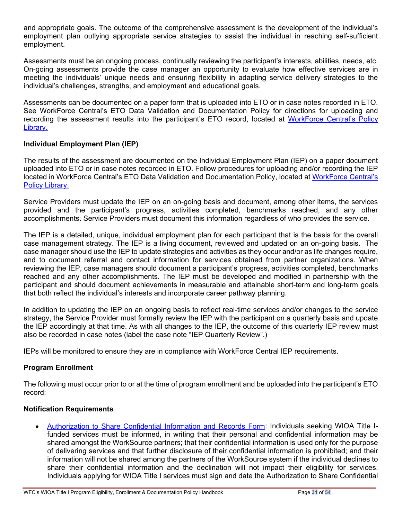and appropriate goals. The outcome of the comprehensive assessment is the development of the individual's employment plan outlying appropriate service strategies to assist the individual in reaching self-sufficient employment.

Assessments must be an ongoing process, continually reviewing the participant's interests, abilities, needs, etc. On-going assessments provide the case manager an opportunity to evaluate how effective services are in meeting the individuals' unique needs and ensuring flexibility in adapting service delivery strategies to the individual's challenges, strengths, and employment and educational goals.

Assessments can be documented on a paper form that is uploaded into ETO or in case notes recorded in ETO. See WorkForce Central's ETO Data Validation and Documentation Policy for directions for uploading and recording the assessment results into the participant's ETO record, located at [WorkForce Central's Policy](https://workforce-central.org/about/policies/)  [Library.](https://workforce-central.org/about/policies/)

#### **Individual Employment Plan (IEP)**

The results of the assessment are documented on the Individual Employment Plan (IEP) on a paper document uploaded into ETO or in case notes recorded in ETO. Follow procedures for uploading and/or recording the IEP located in WorkForce Central's ETO Data Validation and Documentation Policy, located at [WorkForce Central's](https://workforce-central.org/about/policies/)  [Policy Library.](https://workforce-central.org/about/policies/)

Service Providers must update the IEP on an on-going basis and document, among other items, the services provided and the participant's progress, activities completed, benchmarks reached, and any other accomplishments. Service Providers must document this information regardless of who provides the service.

The IEP is a detailed, unique, individual employment plan for each participant that is the basis for the overall case management strategy. The IEP is a living document, reviewed and updated on an on-going basis. The case manager should use the IEP to update strategies and activities as they occur and/or as life changes require, and to document referral and contact information for services obtained from partner organizations. When reviewing the IEP, case managers should document a participant's progress, activities completed, benchmarks reached and any other accomplishments. The IEP must be developed and modified in partnership with the participant and should document achievements in measurable and attainable short-term and long-term goals that both reflect the individual's interests and incorporate career pathway planning.

In addition to updating the IEP on an ongoing basis to reflect real-time services and/or changes to the service strategy, the Service Provider must formally review the IEP with the participant on a quarterly basis and update the IEP accordingly at that time. As with all changes to the IEP, the outcome of this quarterly IEP review must also be recorded in case notes (label the case note "IEP Quarterly Review".)

IEPs will be monitored to ensure they are in compliance with WorkForce Central IEP requirements.

#### **Program Enrollment**

The following must occur prior to or at the time of program enrollment and be uploaded into the participant's ETO record:

#### **Notification Requirements**

• [Authorization to Share Confidential Information and Records Form:](https://workforce-central.org/wp-content/uploads/2021/04/authorization-to-share-confidential-information-and-records.pdf) Individuals seeking WIOA Title Ifunded services must be informed, in writing that their personal and confidential information may be shared amongst the WorkSource partners; that their confidential information is used only for the purpose of delivering services and that further disclosure of their confidential information is prohibited; and their information will not be shared among the partners of the WorkSource system if the individual declines to share their confidential information and the declination will not impact their eligibility for services. Individuals applying for WIOA Title I services must sign and date the Authorization to Share Confidential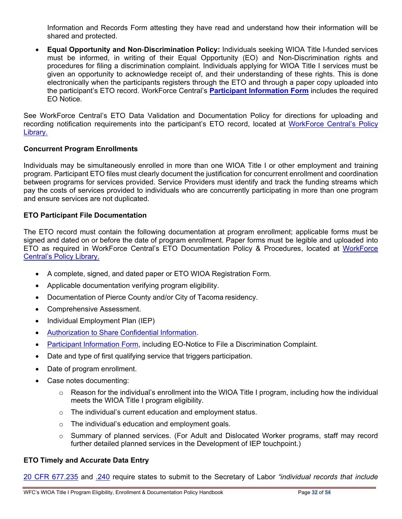Information and Records Form attesting they have read and understand how their information will be shared and protected.

• **Equal Opportunity and Non**-**Discrimination Policy:** Individuals seeking WIOA Title I-funded services must be informed, in writing of their Equal Opportunity (EO) and Non-Discrimination rights and procedures for filing a discrimination complaint. Individuals applying for WIOA Title I services must be given an opportunity to acknowledge receipt of, and their understanding of these rights. This is done electronically when the participants registers through the ETO and through a paper copy uploaded into the participant's ETO record. WorkForce Central's **[Participant Information Form](https://workforce-central.org/wp-content/uploads/2021/06/program-participation-information-june-2021.pdf)** includes the required EO Notice.

See WorkForce Central's ETO Data Validation and Documentation Policy for directions for uploading and recording notification requirements into the participant's ETO record, located at [WorkForce Central's Policy](https://workforce-central.org/about/policies/)  [Library.](https://workforce-central.org/about/policies/)

#### <span id="page-31-0"></span>**Concurrent Program Enrollments**

Individuals may be simultaneously enrolled in more than one WIOA Title I or other employment and training program. Participant ETO files must clearly document the justification for concurrent enrollment and coordination between programs for services provided. Service Providers must identify and track the funding streams which pay the costs of services provided to individuals who are concurrently participating in more than one program and ensure services are not duplicated.

#### <span id="page-31-1"></span>**ETO Participant File Documentation**

The ETO record must contain the following documentation at program enrollment; applicable forms must be signed and dated on or before the date of program enrollment. Paper forms must be legible and uploaded into ETO as required in [WorkForce](https://workforce-central.org/about/policies/) Central's ETO Documentation Policy & Procedures, located at WorkForce [Central's Policy Library.](https://workforce-central.org/about/policies/)

- A complete, signed, and dated paper or ETO WIOA Registration Form*.*
- Applicable documentation verifying program eligibility.
- Documentation of Pierce County and/or City of Tacoma residency.
- Comprehensive Assessment.
- Individual Employment Plan (IEP)
- [Authorization](https://workforce-central.org/wp-content/uploads/2021/04/authorization-to-share-confidential-information-and-records.pdf) to Share Confidential Information.
- [Participant Information Form,](https://workforce-central.org/wp-content/uploads/2021/06/program-participation-information-june-2021.pdf) including EO-Notice to File a Discrimination Complaint.
- Date and type of first qualifying service that triggers participation.
- Date of program enrollment.
- Case notes documenting:
	- $\circ$  Reason for the individual's enrollment into the WIOA Title I program, including how the individual meets the WIOA Title I program eligibility.
	- $\circ$  The individual's current education and employment status.
	- $\circ$  The individual's education and employment goals.
	- $\circ$  Summary of planned services. (For Adult and Dislocated Worker programs, staff may record further detailed planned services in the Development of IEP touchpoint.)

#### <span id="page-31-2"></span>**ETO Timely and Accurate Data Entry**

[20 CFR 677.235](https://ecfr.federalregister.gov/current/title-20/chapter-V/part-677/subpart-F/section-677.235) and [.240](https://ecfr.federalregister.gov/current/title-20/chapter-V/part-677/subpart-F/section-677.240) require states to submit to the Secretary of Labor *"individual records that include*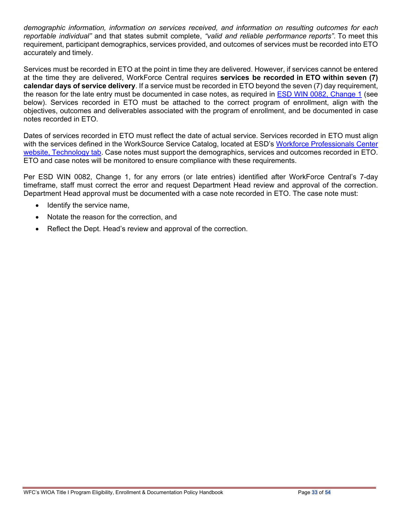*demographic information, information on services received, and information on resulting outcomes for each reportable individual"* and that states submit complete, *"valid and reliable performance reports"*. To meet this requirement, participant demographics, services provided, and outcomes of services must be recorded into ETO accurately and timely.

Services must be recorded in ETO at the point in time they are delivered. However, if services cannot be entered at the time they are delivered, WorkForce Central requires **services be recorded in ETO within seven (7) calendar days of service delivery**. If a service must be recorded in ETO beyond the seven (7) day requirement, the reason for the late entry must be documented in case notes, as required in [ESD WIN 0082, Change 1](https://storemultisites.blob.core.windows.net/media/WPC/adm/policy/0082-1.pdf) (see below). Services recorded in ETO must be attached to the correct program of enrollment, align with the objectives, outcomes and deliverables associated with the program of enrollment, and be documented in case notes recorded in ETO.

Dates of services recorded in ETO must reflect the date of actual service. Services recorded in ETO must align with the services defined in the WorkSource Service Catalog, located at ESD's Workforce Professionals Center [website, Technology tab.](https://wpc.wa.gov/tech) Case notes must support the demographics, services and outcomes recorded in ETO. ETO and case notes will be monitored to ensure compliance with these requirements.

Per ESD WIN 0082, Change 1, for any errors (or late entries) identified after WorkForce Central's 7-day timeframe, staff must correct the error and request Department Head review and approval of the correction. Department Head approval must be documented with a case note recorded in ETO. The case note must:

- Identify the service name,
- Notate the reason for the correction, and
- Reflect the Dept. Head's review and approval of the correction.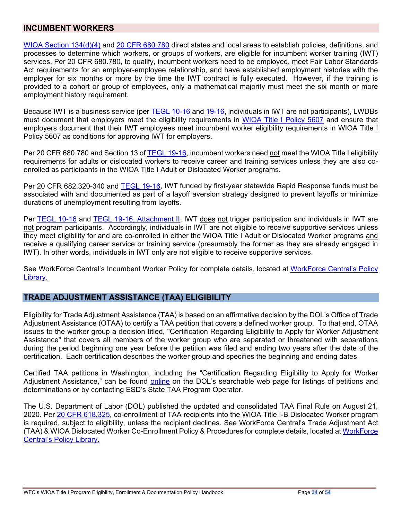#### **INCUMBENT WORKERS**

[WIOA Section 134\(d\)\(4\)](https://www.congress.gov/113/bills/hr803/BILLS-113hr803enr.pdf) and [20 CFR 680.780](https://www.ecfr.gov/cgi-bin/text-idx?node=pt20.4.680&rgn=div5) direct states and local areas to establish policies, definitions, and processes to determine which workers, or groups of workers, are eligible for incumbent worker training (IWT) services. Per 20 CFR 680.780, to qualify, incumbent workers need to be employed, meet Fair Labor Standards Act requirements for an employer-employee relationship, and have established employment histories with the employer for six months or more by the time the IWT contract is fully executed. However, if the training is provided to a cohort or group of employees, only a mathematical majority must meet the six month or more employment history requirement.

Because IWT is a business service (per **TEGL 10-16** and [19-16,](https://wdr.doleta.gov/directives/corr_doc.cfm?DOCN=3851) individuals in IWT are not participants), LWDBs must document that employers meet the eligibility requirements in [WIOA Title I Policy 5607](https://storemultisites.blob.core.windows.net/media/WPC/adm/policy/5607-5-2.pdf) and ensure that employers document that their IWT employees meet incumbent worker eligibility requirements in WIOA Title I Policy 5607 as conditions for approving IWT for employers.

Per 20 CFR 680.780 and Section 13 of [TEGL 19-16,](https://wdr.doleta.gov/directives/corr_doc.cfm?DOCN=3851) incumbent workers need not meet the WIOA Title I eligibility requirements for adults or dislocated workers to receive career and training services unless they are also coenrolled as participants in the WIOA Title I Adult or Dislocated Worker programs.

Per 20 CFR 682.320-340 and [TEGL 19-16,](https://wdr.doleta.gov/directives/corr_doc.cfm?DOCN=3851) IWT funded by first-year statewide Rapid Response funds must be associated with and documented as part of a layoff aversion strategy designed to prevent layoffs or minimize durations of unemployment resulting from layoffs.

Per [TEGL 10-16](https://wdr.doleta.gov/directives/corr_doc.cfm?DOCN=3255) and [TEGL 19-16, Attachment II,](https://wdr.doleta.gov/directives/corr_doc.cfm?DOCN=3851) IWT does not trigger participation and individuals in IWT are not program participants. Accordingly, individuals in IWT are not eligible to receive supportive services unless they meet eligibility for and are co-enrolled in either the WIOA Title I Adult or Dislocated Worker programs and receive a qualifying career service or training service (presumably the former as they are already engaged in IWT). In other words, individuals in IWT only are not eligible to receive supportive services.

See WorkForce Central's Incumbent Worker Policy for complete details, located at [WorkForce Central's Policy](https://workforce-central.org/about/policies/)  [Library.](https://workforce-central.org/about/policies/)

#### <span id="page-33-0"></span>**TRADE ADJUSTMENT ASSISTANCE (TAA) ELIGIBILITY**

Eligibility for Trade Adjustment Assistance (TAA) is based on an affirmative decision by the DOL's Office of Trade Adjustment Assistance (OTAA) to certify a TAA petition that covers a defined worker group. To that end, OTAA issues to the worker group a decision titled, "Certification Regarding Eligibility to Apply for Worker Adjustment Assistance" that covers all members of the worker group who are separated or threatened with separations during the period beginning one year before the petition was filed and ending two years after the date of the certification. Each certification describes the worker group and specifies the beginning and ending dates.

Certified TAA petitions in Washington, including the "Certification Regarding Eligibility to Apply for Worker Adjustment Assistance," can be found [online](https://www.doleta.gov/tradeact/taa/taa_search_form.cfm) on the DOL's searchable web page for listings of petitions and determinations or by contacting ESD's State TAA Program Operator.

The U.S. Department of Labor (DOL) published the updated and consolidated TAA Final Rule on August 21, 2020. Per [20 CFR 618.325,](https://www.ecfr.gov/current/title-20/chapter-V/part-618/subpart-C/section-618.325) co-enrollment of TAA recipients into the WIOA Title I-B Dislocated Worker program is required, subject to eligibility, unless the recipient declines. See WorkForce Central's Trade Adjustment Act (TAA) & WIOA Dislocated Worker Co-Enrollment Policy & Procedures for complete details, located at [WorkForce](https://workforce-central.org/about/policies/)  [Central's Policy Library.](https://workforce-central.org/about/policies/)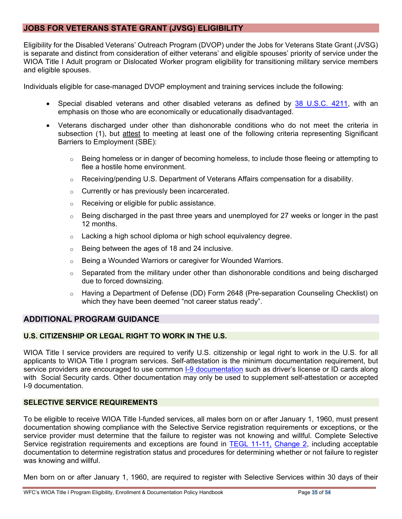#### <span id="page-34-0"></span>**JOBS FOR VETERANS STATE GRANT (JVSG) ELIGIBILITY**

Eligibility for the Disabled Veterans' Outreach Program (DVOP) under the Jobs for Veterans State Grant (JVSG) is separate and distinct from consideration of either veterans' and eligible spouses' priority of service under the WIOA Title I Adult program or Dislocated Worker program eligibility for transitioning military service members and eligible spouses.

Individuals eligible for case-managed DVOP employment and training services include the following:

- Special disabled veterans and other disabled veterans as defined by [38 U.S.C. 4211,](https://www.gpo.gov/fdsys/pkg/USCODE-2011-title38/html/USCODE-2011-title38-partIII-chap42-sec4211.htm) with an emphasis on those who are economically or educationally disadvantaged.
- Veterans discharged under other than dishonorable conditions who do not meet the criteria in subsection (1), but attest to meeting at least one of the following criteria representing Significant Barriers to Employment (SBE):
	- o Being homeless or in danger of becoming homeless, to include those fleeing or attempting to flee a hostile home environment.
	- $\circ$  Receiving/pending U.S. Department of Veterans Affairs compensation for a disability.
	- o Currently or has previously been incarcerated.
	- o Receiving or eligible for public assistance.
	- o Being discharged in the past three years and unemployed for 27 weeks or longer in the past 12 months.
	- $\circ$  Lacking a high school diploma or high school equivalency degree.
	- o Being between the ages of 18 and 24 inclusive.
	- o Being a Wounded Warriors or caregiver for Wounded Warriors.
	- $\circ$  Separated from the military under other than dishonorable conditions and being discharged due to forced downsizing.
	- o Having a Department of Defense (DD) Form 2648 (Pre-separation Counseling Checklist) on which they have been deemed "not career status ready".

#### <span id="page-34-1"></span>**ADDITIONAL PROGRAM GUIDANCE**

#### <span id="page-34-2"></span>**U.S. CITIZENSHIP OR LEGAL RIGHT TO WORK IN THE U.S.**

WIOA Title I service providers are required to verify U.S. citizenship or legal right to work in the U.S. for all applicants to WIOA Title I program services. Self-attestation is the minimum documentation requirement, but service providers are encouraged to use common [I-9 documentation](https://www.uscis.gov/i-9-central/form-i-9-acceptable-documents) such as driver's license or ID cards along with Social Security cards. Other documentation may only be used to supplement self-attestation or accepted I-9 documentation.

#### <span id="page-34-3"></span>**SELECTIVE SERVICE REQUIREMENTS**

To be eligible to receive WIOA Title I-funded services, all males born on or after January 1, 1960, must present documentation showing compliance with the Selective Service registration requirements or exceptions, or the service provider must determine that the failure to register was not knowing and willful. Complete Selective Service registration requirements and exceptions are found in [TEGL 11-11,](http://wdr.doleta.gov/directives/attach/TEGL/TEGL_11-11_change2-Acc.pdf) [Change 2,](http://wdr.doleta.gov/directives/attach/TEGL/TEGL_11-11_change2-Acc.pdf) including acceptable documentation to determine registration status and procedures for determining whether or not failure to register was knowing and willful.

Men born on or after January 1, 1960, are required to register with Selective Services within 30 days of their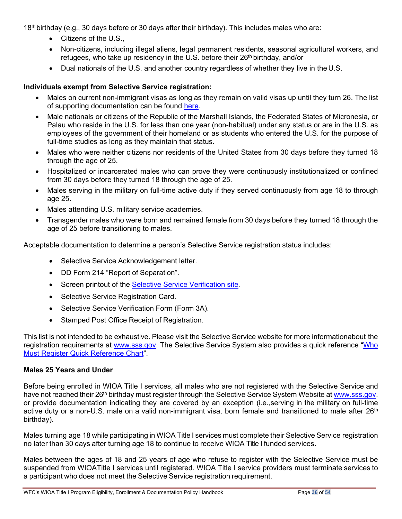18th birthday (e.g., 30 days before or 30 days after their birthday). This includes males who are:

- Citizens of the U.S.,
- Non-citizens, including illegal aliens, legal permanent residents, seasonal agricultural workers, and refugees, who take up residency in the U.S. before their 26<sup>th</sup> birthday, and/or
- Dual nationals of the U.S. and another country regardless of whether they live in the U.S.

# **Individuals exempt from Selective Service registration:**

- Males on current non-immigrant visas as long as they remain on valid visas up until they turn 26. The list of supporting documentation can be found [here.](https://www.sss.gov/wp-content/uploads/2020/02/DocumentationList.pdf)
- Male nationals or citizens of the Republic of the Marshall Islands, the Federated States of Micronesia, or Palau who reside in the U.S. for less than one year (non-habitual) under any status or are in the U.S. as employees of the government of their homeland or as students who entered the U.S. for the purpose of full-time studies as long as they maintain that status.
- Males who were neither citizens nor residents of the United States from 30 days before they turned 18 through the age of 25.
- Hospitalized or incarcerated males who can prove they were continuously institutionalized or confined from 30 days before they turned 18 through the age of 25.
- Males serving in the military on full-time active duty if they served continuously from age 18 to through age 25.
- Males attending U.S. military service academies.
- Transgender males who were born and remained female from 30 days before they turned 18 through the age of 25 before transitioning to males.

Acceptable documentation to determine a person's Selective Service registration status includes:

- Selective Service Acknowledgement letter.
- DD Form 214 "Report of Separation".
- Screen printout of the [Selective Service Verification site.](https://www.sss.gov/verify/)
- Selective Service Registration Card.
- Selective Service Verification Form (Form 3A).
- Stamped Post Office Receipt of Registration.

This list is not intended to be exhaustive. Please visit the Selective Service website for more informationabout the registration requirements at [www.sss.gov.](http://www.sss.gov/) The Selective Service System also provides a quick reference "Who [Must Register Quick Reference Chart"](https://www.sss.gov/wp-content/uploads/2020/11/WhoMustRegisterChart.pdf).

### **Males 25 Years and Under**

Before being enrolled in WIOA Title I services, all males who are not registered with the Selective Service and have not reached their 26<sup>th</sup> birthday must register through the Selective Service System Website at [www.sss.gov.](http://www.sss.gov/) or provide documentation indicating they are covered by an exception (i.e.,serving in the military on full-time active duty or a non-U.S. male on a valid non-immigrant visa, born female and transitioned to male after 26<sup>th</sup> birthday).

Males turning age 18 while participating in WIOA Title I services must complete their Selective Service registration no later than 30 days after turning age 18 to continue to receive WIOA Title I funded services.

Males between the ages of 18 and 25 years of age who refuse to register with the Selective Service must be suspended from WIOATitle I services until registered. WIOA Title I service providers must terminate services to a participant who does not meet the Selective Service registration requirement.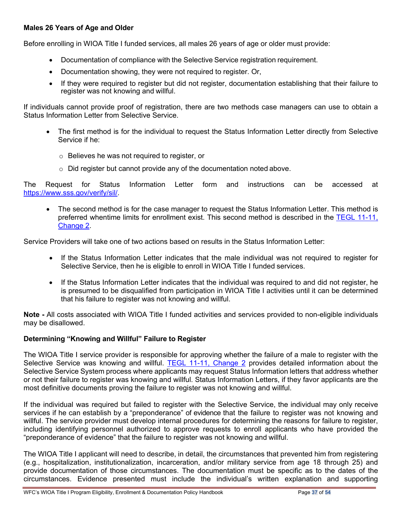#### **Males 26 Years of Age and Older**

Before enrolling in WIOA Title I funded services, all males 26 years of age or older must provide:

- Documentation of compliance with the Selective Service registration requirement.
- Documentation showing, they were not required to register. Or,
- If they were required to register but did not register, documentation establishing that their failure to register was not knowing and willful.

If individuals cannot provide proof of registration, there are two methods case managers can use to obtain a Status Information Letter from Selective Service.

- The first method is for the individual to request the Status Information Letter directly from Selective Service if he:
	- o Believes he was not required to register, or
	- $\circ$  Did register but cannot provide any of the documentation noted above.

The Request for Status Information Letter form and instructions can be accessed at [https://www.sss.gov/verify/sil/.](https://www.sss.gov/verify/sil/)

• The second method is for the case manager to request the Status Information Letter. This method is preferred whentime limits for enrollment exist. This second method is described in the [TEGL 11-11,](https://wdr.doleta.gov/directives/corr_doc.cfm?DOCN=8779)  [Change 2.](https://wdr.doleta.gov/directives/corr_doc.cfm?DOCN=8779)

Service Providers will take one of two actions based on results in the Status Information Letter:

- If the Status Information Letter indicates that the male individual was not required to register for Selective Service, then he is eligible to enroll in WIOA Title I funded services.
- If the Status Information Letter indicates that the individual was required to and did not register, he is presumed to be disqualified from participation in WIOA Title I activities until it can be determined that his failure to register was not knowing and willful.

**Note -** All costs associated with WIOA Title I funded activities and services provided to non-eligible individuals may be disallowed.

#### **Determining "Knowing and Willful" Failure to Register**

The WIOA Title I service provider is responsible for approving whether the failure of a male to register with the Selective Service was knowing and willful. [TEGL 11-11, Change 2](https://wdr.doleta.gov/directives/attach/TEGL/TEGL_11-11_change2-Acc.pdf) provides detailed information about the Selective Service System process where applicants may request Status Information letters that address whether or not their failure to register was knowing and willful. Status Information Letters, if they favor applicants are the most definitive documents proving the failure to register was not knowing and willful.

If the individual was required but failed to register with the Selective Service, the individual may only receive services if he can establish by a "preponderance" of evidence that the failure to register was not knowing and willful. The service provider must develop internal procedures for determining the reasons for failure to register, including identifying personnel authorized to approve requests to enroll applicants who have provided the "preponderance of evidence" that the failure to register was not knowing and willful.

The WIOA Title I applicant will need to describe, in detail, the circumstances that prevented him from registering (e.g., hospitalization, institutionalization, incarceration, and/or military service from age 18 through 25) and provide documentation of those circumstances. The documentation must be specific as to the dates of the circumstances. Evidence presented must include the individual's written explanation and supporting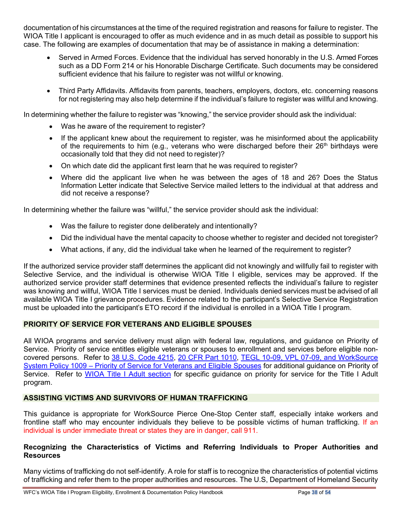documentation of his circumstances at the time of the required registration and reasons for failure to register. The WIOA Title I applicant is encouraged to offer as much evidence and in as much detail as possible to support his case. The following are examples of documentation that may be of assistance in making a determination:

- Served in Armed Forces. Evidence that the individual has served honorably in the U.S. Armed Forces such as a DD Form 214 or his Honorable Discharge Certificate. Such documents may be considered sufficient evidence that his failure to register was not willful or knowing.
- Third Party Affidavits. Affidavits from parents, teachers, employers, doctors, etc. concerning reasons for not registering may also help determine if the individual's failure to register was willful and knowing.

In determining whether the failure to register was "knowing," the service provider should ask the individual:

- Was he aware of the requirement to register?
- If the applicant knew about the requirement to register, was he misinformed about the applicability of the requirements to him (e.g., veterans who were discharged before their  $26<sup>th</sup>$  birthdays were occasionally told that they did not need to register)?
- On which date did the applicant first learn that he was required to register?
- Where did the applicant live when he was between the ages of 18 and 26? Does the Status Information Letter indicate that Selective Service mailed letters to the individual at that address and did not receive a response?

In determining whether the failure was "willful," the service provider should ask the individual:

- Was the failure to register done deliberately and intentionally?
- Did the individual have the mental capacity to choose whether to register and decided not toregister?
- What actions, if any, did the individual take when he learned of the requirement to register?

If the authorized service provider staff determines the applicant did not knowingly and willfully fail to register with Selective Service, and the individual is otherwise WIOA Title I eligible, services may be approved. If the authorized service provider staff determines that evidence presented reflects the individual's failure to register was knowing and willful, WIOA Title I services must be denied. Individuals denied services must be advised of all available WIOA Title I grievance procedures. Evidence related to the participant's Selective Service Registration must be uploaded into the participant's ETO record if the individual is enrolled in a WIOA Title I program.

### **PRIORITY OF SERVICE FOR VETERANS AND ELIGIBLE SPOUSES**

All WIOA programs and service delivery must align with federal law, regulations, and guidance on Priority of Service. Priority of service entitles eligible veterans or spouses to enrollment and services before eligible noncovered persons. Refer to [38 U.S. Code 4215,](https://www.law.cornell.edu/uscode/text/38/4215) [20 CFR Part 1010,](https://www.dol.gov/VETS/E8-30166.pdf) [TEGL](http://wdr.doleta.gov/directives/corr_doc.cfm?DOCN=2816) 10-09, [VPL 07-09,](https://www.dol.gov/vets/VMS/VPLs/VPL-07-09.pdf) and [WorkSource](http://media.wpc.wa.gov/media/WPC/adm/policy/1009.pdf)  System Policy 1009 – Priority of Service for Veterans [and Eligible Spouses](http://media.wpc.wa.gov/media/WPC/adm/policy/1009.pdf) for additional guidance on Priority of Service. Refer to [WIOA Title I Adult section](#page-21-0) for specific guidance on priority for service for the Title I Adult program.

#### <span id="page-37-0"></span>**ASSISTING VICTIMS AND SURVIVORS OF HUMAN TRAFFICKING**

This guidance is appropriate for WorkSource Pierce One-Stop Center staff, especially intake workers and frontline staff who may encounter individuals they believe to be possible victims of human trafficking. If an individual is under immediate threat or states they are in danger, call 911.

#### **Recognizing the Characteristics of Victims and Referring Individuals to Proper Authorities and Resources**

Many victims of trafficking do not self-identify. A role for staff is to recognize the characteristics of potential victims of trafficking and refer them to the proper authorities and resources. The U.S, Department of Homeland Security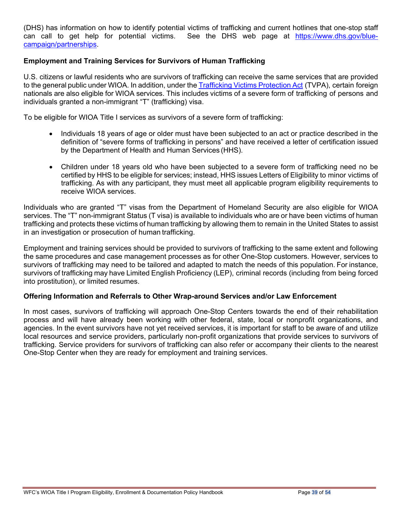(DHS) has information on how to identify potential victims of trafficking and current hotlines that one-stop staff can call to get help for potential victims. See the DHS web page at [https://www.dhs.gov/blue](https://www.dhs.gov/blue-campaign/partnerships)[campaign/partnerships.](https://www.dhs.gov/blue-campaign/partnerships)

#### **Employment and Training Services for Survivors of Human Trafficking**

U.S. citizens or lawful residents who are survivors of trafficking can receive the same services that are provided to the general public under WIOA. In addition, under the [Trafficking](https://www.congress.gov/bill/106th-congress/house-bill/3244) Victims Protection Act (TVPA), certain foreign nationals are also eligible for WIOA services. This includes victims of a severe form of trafficking of persons and individuals granted a non-immigrant "T" (trafficking) visa.

To be eligible for WIOA Title I services as survivors of a severe form of trafficking:

- Individuals 18 years of age or older must have been subjected to an act or practice described in the definition of "severe forms of trafficking in persons" and have received a letter of certification issued by the Department of Health and Human Services (HHS).
- Children under 18 years old who have been subjected to a severe form of trafficking need no be certified by HHS to be eligible for services; instead, HHS issues Letters of Eligibility to minor victims of trafficking. As with any participant, they must meet all applicable program eligibility requirements to receive WIOA services.

Individuals who are granted "T" visas from the Department of Homeland Security are also eligible for WIOA services. The "T" non-immigrant Status (T visa) is available to individuals who are or have been victims of human trafficking and protects these victims of human trafficking by allowing them to remain in the United States to assist in an investigation or prosecution of human trafficking.

Employment and training services should be provided to survivors of trafficking to the same extent and following the same procedures and case management processes as for other One-Stop customers. However, services to survivors of trafficking may need to be tailored and adapted to match the needs of this population. For instance, survivors of trafficking may have Limited English Proficiency (LEP), criminal records (including from being forced into prostitution), or limited resumes.

#### **Offering Information and Referrals to Other Wrap-around Services and/or Law Enforcement**

In most cases, survivors of trafficking will approach One-Stop Centers towards the end of their rehabilitation process and will have already been working with other federal, state, local or nonprofit organizations, and agencies. In the event survivors have not yet received services, it is important for staff to be aware of and utilize local resources and service providers, particularly non-profit organizations that provide services to survivors of trafficking. Service providers for survivors of trafficking can also refer or accompany their clients to the nearest One-Stop Center when they are ready for employment and training services.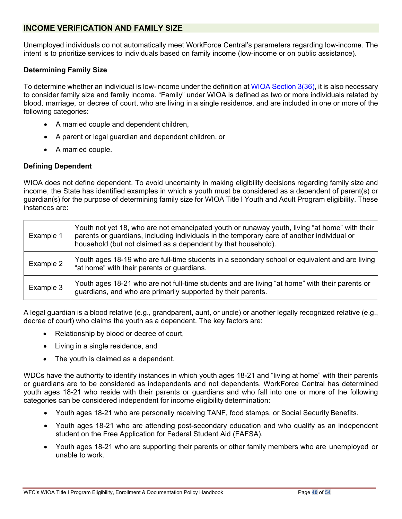### <span id="page-39-0"></span>**INCOME VERIFICATION AND FAMILY SIZE**

Unemployed individuals do not automatically meet WorkForce Central's parameters regarding low-income. The intent is to prioritize services to individuals based on family income (low-income or on public assistance).

#### **Determining Family Size**

To determine whether an individual is low-income under the definition a[t WIOA Section 3\(36\),](https://wdr.doleta.gov/directives/attach/TEGL/TEGL_19-16_Attachment_III.pdf) it is also necessary to consider family size and family income. "Family" under WIOA is defined as two or more individuals related by blood, marriage, or decree of court, who are living in a single residence, and are included in one or more of the following categories:

- A married couple and dependent children,
- A parent or legal guardian and dependent children, or
- A married couple.

#### **Defining Dependent**

WIOA does not define dependent. To avoid uncertainty in making eligibility decisions regarding family size and income, the State has identified examples in which a youth must be considered as a dependent of parent(s) or guardian(s) for the purpose of determining family size for WIOA Title I Youth and Adult Program eligibility. These instances are:

| Example 1 | Youth not yet 18, who are not emancipated youth or runaway youth, living "at home" with their<br>parents or guardians, including individuals in the temporary care of another individual or<br>household (but not claimed as a dependent by that household). |  |
|-----------|--------------------------------------------------------------------------------------------------------------------------------------------------------------------------------------------------------------------------------------------------------------|--|
| Example 2 | Youth ages 18-19 who are full-time students in a secondary school or equivalent and are living<br>"at home" with their parents or guardians.                                                                                                                 |  |
| Example 3 | Youth ages 18-21 who are not full-time students and are living "at home" with their parents or<br>guardians, and who are primarily supported by their parents.                                                                                               |  |

A legal guardian is a blood relative (e.g., grandparent, aunt, or uncle) or another legally recognized relative (e.g., decree of court) who claims the youth as a dependent. The key factors are:

- Relationship by blood or decree of court,
- Living in a single residence, and
- The youth is claimed as a dependent.

WDCs have the authority to identify instances in which youth ages 18-21 and "living at home" with their parents or guardians are to be considered as independents and not dependents. WorkForce Central has determined youth ages 18-21 who reside with their parents or guardians and who fall into one or more of the following categories can be considered independent for income eligibility determination:

- Youth ages 18-21 who are personally receiving TANF, food stamps, or Social Security Benefits.
- Youth ages 18-21 who are attending post-secondary education and who qualify as an independent student on the Free Application for Federal Student Aid (FAFSA).
- Youth ages 18-21 who are supporting their parents or other family members who are unemployed or unable to work.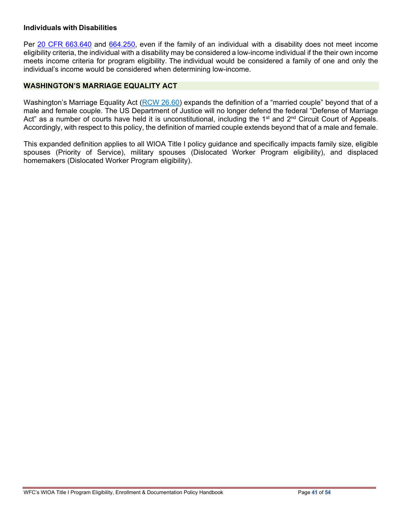#### **Individuals with Disabilities**

Per 20 CFR [663.640](https://www.govinfo.gov/app/details/CFR-2016-title20-vol4/CFR-2016-title20-vol4-sec663-640) and [664.250,](https://www.govinfo.gov/app/details/CFR-2017-title20-vol4/CFR-2017-title20-vol4-sec664-250) even if the family of an individual with a disability does not meet income eligibility criteria, the individual with a disability may be considered a low-income individual if the their own income meets income criteria for program eligibility. The individual would be considered a family of one and only the individual's income would be considered when determining low-income.

#### <span id="page-40-0"></span>**WASHINGTON'S MARRIAGE EQUALITY ACT**

Washington's Marriage Equality Act (RCW [26.60\)](http://apps.leg.wa.gov/rcw/default.aspx?cite=26.60&%3Bfull=true) expands the definition of a "married couple" beyond that of a male and female couple. The US Department of Justice will no longer defend the federal "Defense of Marriage Act" as a number of courts have held it is unconstitutional, including the 1<sup>st</sup> and 2<sup>nd</sup> Circuit Court of Appeals. Accordingly, with respect to this policy, the definition of married couple extends beyond that of a male and female.

This expanded definition applies to all WIOA Title I policy guidance and specifically impacts family size, eligible spouses (Priority of Service), military spouses (Dislocated Worker Program eligibility), and displaced homemakers (Dislocated Worker Program eligibility).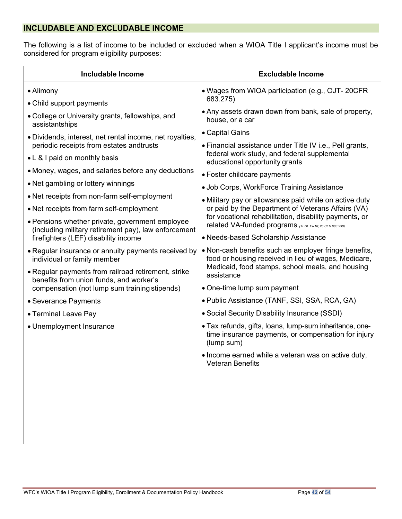# <span id="page-41-0"></span>**INCLUDABLE AND EXCLUDABLE INCOME**

The following is a list of income to be included or excluded when a WIOA Title I applicant's income must be considered for program eligibility purposes:

| <b>Includable Income</b>                                                                                | <b>Excludable Income</b>                                                                                                     |
|---------------------------------------------------------------------------------------------------------|------------------------------------------------------------------------------------------------------------------------------|
| • Alimony                                                                                               | • Wages from WIOA participation (e.g., OJT- 20CFR                                                                            |
| • Child support payments                                                                                | 683.275)                                                                                                                     |
| • College or University grants, fellowships, and<br>assistantships                                      | • Any assets drawn down from bank, sale of property,<br>house, or a car                                                      |
| · Dividends, interest, net rental income, net royalties,                                                | • Capital Gains                                                                                                              |
| periodic receipts from estates andtrusts                                                                | • Financial assistance under Title IV i.e., Pell grants,                                                                     |
| • L & I paid on monthly basis                                                                           | federal work study, and federal supplemental<br>educational opportunity grants                                               |
| • Money, wages, and salaries before any deductions                                                      | • Foster childcare payments                                                                                                  |
| • Net gambling or lottery winnings                                                                      | • Job Corps, WorkForce Training Assistance                                                                                   |
| • Net receipts from non-farm self-employment                                                            | • Military pay or allowances paid while on active duty                                                                       |
| • Net receipts from farm self-employment                                                                | or paid by the Department of Veterans Affairs (VA)                                                                           |
| • Pensions whether private, government employee<br>(including military retirement pay), law enforcement | for vocational rehabilitation, disability payments, or<br>related VA-funded programs (TEGL 19-16; 20 CFR 683.230)            |
| firefighters (LEF) disability income                                                                    | • Needs-based Scholarship Assistance                                                                                         |
| • Regular insurance or annuity payments received by<br>individual or family member                      | • Non-cash benefits such as employer fringe benefits,<br>food or housing received in lieu of wages, Medicare,                |
| • Regular payments from railroad retirement, strike<br>benefits from union funds, and worker's          | Medicaid, food stamps, school meals, and housing<br>assistance                                                               |
| compensation (not lump sum training stipends)                                                           | • One-time lump sum payment                                                                                                  |
| • Severance Payments                                                                                    | • Public Assistance (TANF, SSI, SSA, RCA, GA)                                                                                |
| • Terminal Leave Pay                                                                                    | • Social Security Disability Insurance (SSDI)                                                                                |
| • Unemployment Insurance                                                                                | • Tax refunds, gifts, loans, lump-sum inheritance, one-<br>time insurance payments, or compensation for injury<br>(lump sum) |
|                                                                                                         | • Income earned while a veteran was on active duty,<br><b>Veteran Benefits</b>                                               |
|                                                                                                         |                                                                                                                              |
|                                                                                                         |                                                                                                                              |
|                                                                                                         |                                                                                                                              |
|                                                                                                         |                                                                                                                              |
|                                                                                                         |                                                                                                                              |
|                                                                                                         |                                                                                                                              |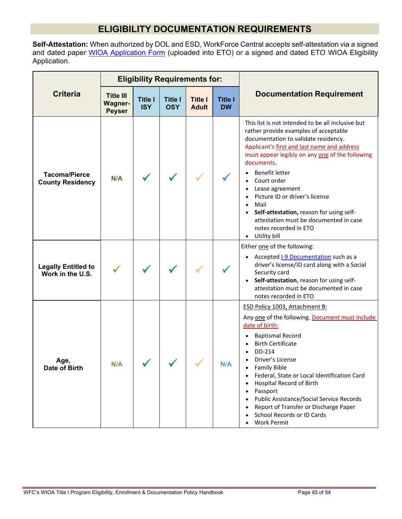# **ELIGIBILITY DOCUMENTATION REQUIREMENTS**

<span id="page-42-0"></span>**Self-Attestation:** When authorized by DOL and ESD, WorkForce Central accepts self-attestation via a signed and dated paper <u>WIOA Application Form</u> (uploaded into ETO) or a signed and dated ETO WIOA Eligibility Application.

<span id="page-42-4"></span><span id="page-42-3"></span><span id="page-42-2"></span><span id="page-42-1"></span>

|                                                 |                                                     |                              |                              | <b>Eligibility Requirements for:</b> |                             |                                                                                                                                                                                                                                                                                                                                                                                                                                                                                   |
|-------------------------------------------------|-----------------------------------------------------|------------------------------|------------------------------|--------------------------------------|-----------------------------|-----------------------------------------------------------------------------------------------------------------------------------------------------------------------------------------------------------------------------------------------------------------------------------------------------------------------------------------------------------------------------------------------------------------------------------------------------------------------------------|
| <b>Criteria</b>                                 | <b>Title III</b><br><b>Wagner-</b><br><b>Peyser</b> | <b>Title I</b><br><b>ISY</b> | <b>Title I</b><br><b>OSY</b> | <b>Title I</b><br><b>Adult</b>       | <b>Title I</b><br><b>DW</b> | <b>Documentation Requirement</b>                                                                                                                                                                                                                                                                                                                                                                                                                                                  |
| <b>Tacoma/Pierce</b><br><b>County Residency</b> | N/A                                                 |                              |                              |                                      |                             | This list is not intended to be all inclusive but<br>rather provide examples of acceptable<br>documentation to validate residency.<br>Applicant's first and last name and address<br>must appear legibly on any one of the following<br>documents.<br>Benefit letter<br>Court order<br>Lease agreement<br>Picture ID or driver's license<br>Mail<br>Self-attestation, reason for using self-<br>attestation must be documented in case<br>notes recorded in ETO<br>• Utility bill |
| <b>Legally Entitled to</b><br>Work in the U.S.  |                                                     |                              |                              |                                      |                             | Either one of the following:<br>• Accepted I-9 Documentation such as a<br>driver's license/ID card along with a Social<br>Security card<br>Self-attestation, reason for using self-<br>$\bullet$<br>attestation must be documented in case<br>notes recorded in ETO                                                                                                                                                                                                               |
| Age,<br>Date of Birth                           | N/A                                                 |                              |                              |                                      |                             | ESD Policy 1003, Attachment B:<br>Any one of the following. Document must include<br>date of birth:<br><b>Baptismal Record</b><br><b>Birth Certificate</b><br>DD-214<br>Driver's License<br><b>Family Bible</b><br>Federal, State or Local Identification Card<br>Hospital Record of Birth<br>Passport<br>Public Assistance/Social Service Records<br>Report of Transfer or Discharge Paper<br>School Records or ID Cards<br>Work Permit                                          |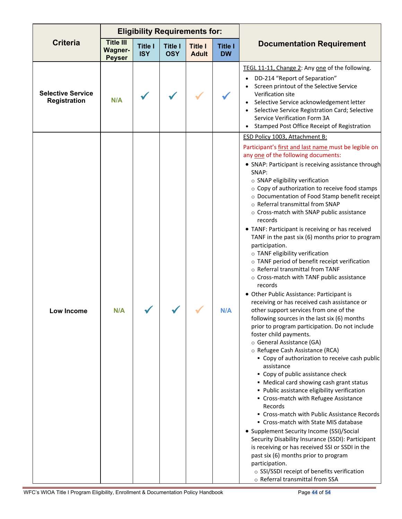|                                                 |                                                     |                              | <b>Eligibility Requirements for:</b> |                                |                             |                                                                                                                                                                                                                                                                                                                                                                                                                                                                                                                                                                                                                                                                                                                                                                                                                                                                                                                                                                                                                                                                                                                                                                                                                                                                                                                                                                                                                                                                                                                                                                                                                                                                                                                             |
|-------------------------------------------------|-----------------------------------------------------|------------------------------|--------------------------------------|--------------------------------|-----------------------------|-----------------------------------------------------------------------------------------------------------------------------------------------------------------------------------------------------------------------------------------------------------------------------------------------------------------------------------------------------------------------------------------------------------------------------------------------------------------------------------------------------------------------------------------------------------------------------------------------------------------------------------------------------------------------------------------------------------------------------------------------------------------------------------------------------------------------------------------------------------------------------------------------------------------------------------------------------------------------------------------------------------------------------------------------------------------------------------------------------------------------------------------------------------------------------------------------------------------------------------------------------------------------------------------------------------------------------------------------------------------------------------------------------------------------------------------------------------------------------------------------------------------------------------------------------------------------------------------------------------------------------------------------------------------------------------------------------------------------------|
| <b>Criteria</b>                                 | <b>Title III</b><br><b>Wagner-</b><br><b>Peyser</b> | <b>Title I</b><br><b>ISY</b> | <b>Title I</b><br><b>OSY</b>         | <b>Title I</b><br><b>Adult</b> | <b>Title I</b><br><b>DW</b> | <b>Documentation Requirement</b>                                                                                                                                                                                                                                                                                                                                                                                                                                                                                                                                                                                                                                                                                                                                                                                                                                                                                                                                                                                                                                                                                                                                                                                                                                                                                                                                                                                                                                                                                                                                                                                                                                                                                            |
| <b>Selective Service</b><br><b>Registration</b> | N/A                                                 |                              |                                      |                                |                             | TEGL 11-11, Change 2: Any one of the following.<br>DD-214 "Report of Separation"<br>Screen printout of the Selective Service<br>Verification site<br>Selective Service acknowledgement letter<br>Selective Service Registration Card; Selective<br>Service Verification Form 3A<br>Stamped Post Office Receipt of Registration                                                                                                                                                                                                                                                                                                                                                                                                                                                                                                                                                                                                                                                                                                                                                                                                                                                                                                                                                                                                                                                                                                                                                                                                                                                                                                                                                                                              |
| <b>Low Income</b>                               | N/A                                                 |                              |                                      |                                | <b>N/A</b>                  | ESD Policy 1003, Attachment B:<br>Participant's first and last name must be legible on<br>any one of the following documents:<br>• SNAP: Participant is receiving assistance through<br>SNAP:<br>o SNAP eligibility verification<br>○ Copy of authorization to receive food stamps<br>o Documentation of Food Stamp benefit receipt<br>o Referral transmittal from SNAP<br>o Cross-match with SNAP public assistance<br>records<br>• TANF: Participant is receiving or has received<br>TANF in the past six (6) months prior to program<br>participation.<br>o TANF eligibility verification<br>o TANF period of benefit receipt verification<br>o Referral transmittal from TANF<br>o Cross-match with TANF public assistance<br>records<br>• Other Public Assistance: Participant is<br>receiving or has received cash assistance or<br>other support services from one of the<br>following sources in the last six (6) months<br>prior to program participation. Do not include<br>foster child payments.<br>o General Assistance (GA)<br>o Refugee Cash Assistance (RCA)<br>• Copy of authorization to receive cash public<br>assistance<br>• Copy of public assistance check<br>• Medical card showing cash grant status<br>· Public assistance eligibility verification<br>• Cross-match with Refugee Assistance<br>Records<br>• Cross-match with Public Assistance Records<br>• Cross-match with State MIS database<br>• Supplement Security Income (SSI)/Social<br>Security Disability Insurance (SSDI): Participant<br>is receiving or has received SSI or SSDI in the<br>past six (6) months prior to program<br>participation.<br>○ SSI/SSDI receipt of benefits verification<br>o Referral transmittal from SSA |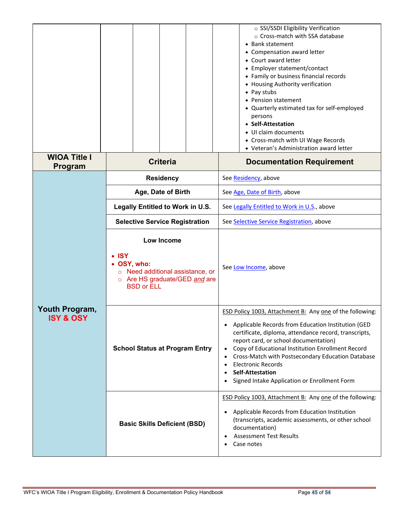|                                        |                                                                                                                                             | ○ SSI/SSDI Eligibility Verification<br>○ Cross-match with SSA database<br>• Bank statement<br>• Compensation award letter<br>• Court award letter<br>• Employer statement/contact<br>• Family or business financial records<br>• Housing Authority verification<br>• Pay stubs<br>• Pension statement<br>• Quarterly estimated tax for self-employed<br>persons<br>• Self-Attestation<br>• UI claim documents<br>• Cross-match with UI Wage Records<br>• Veteran's Administration award letter |  |  |
|----------------------------------------|---------------------------------------------------------------------------------------------------------------------------------------------|------------------------------------------------------------------------------------------------------------------------------------------------------------------------------------------------------------------------------------------------------------------------------------------------------------------------------------------------------------------------------------------------------------------------------------------------------------------------------------------------|--|--|
| <b>WIOA Title I</b><br><b>Program</b>  | <b>Criteria</b>                                                                                                                             | <b>Documentation Requirement</b>                                                                                                                                                                                                                                                                                                                                                                                                                                                               |  |  |
|                                        | <b>Residency</b>                                                                                                                            | See Residency, above                                                                                                                                                                                                                                                                                                                                                                                                                                                                           |  |  |
|                                        | Age, Date of Birth                                                                                                                          | See Age, Date of Birth, above                                                                                                                                                                                                                                                                                                                                                                                                                                                                  |  |  |
|                                        | Legally Entitled to Work in U.S.                                                                                                            | See Legally Entitled to Work in U.S., above                                                                                                                                                                                                                                                                                                                                                                                                                                                    |  |  |
| <b>Selective Service Registration</b>  |                                                                                                                                             | See Selective Service Registration, above                                                                                                                                                                                                                                                                                                                                                                                                                                                      |  |  |
|                                        | Low Income<br>$\bullet$ ISY<br>• OSY, who:<br>Need additional assistance, or<br>Are HS graduate/GED and are<br>$\circ$<br><b>BSD or ELL</b> | See Low Income, above                                                                                                                                                                                                                                                                                                                                                                                                                                                                          |  |  |
| Youth Program,<br><b>ISY &amp; OSY</b> |                                                                                                                                             | <b>ESD Policy 1003, Attachment B: Any one of the following:</b>                                                                                                                                                                                                                                                                                                                                                                                                                                |  |  |
|                                        | <b>School Status at Program Entry</b>                                                                                                       | Applicable Records from Education Institution (GED<br>certificate, diploma, attendance record, transcripts,<br>report card, or school documentation)<br>Copy of Educational Institution Enrollment Record<br>Cross-Match with Postsecondary Education Database<br><b>Electronic Records</b><br>$\bullet$<br><b>Self-Attestation</b><br>$\bullet$<br>Signed Intake Application or Enrollment Form<br>$\bullet$                                                                                  |  |  |
|                                        | <b>Basic Skills Deficient (BSD)</b>                                                                                                         | ESD Policy 1003, Attachment B: Any one of the following:<br>Applicable Records from Education Institution<br>$\bullet$<br>(transcripts, academic assessments, or other school<br>documentation)<br><b>Assessment Test Results</b><br>$\bullet$<br>Case notes                                                                                                                                                                                                                                   |  |  |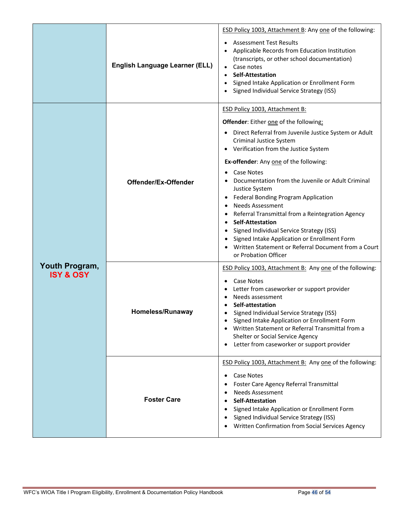|                                        | <b>English Language Learner (ELL)</b> | <b>ESD Policy 1003, Attachment B: Any one of the following:</b><br><b>Assessment Test Results</b><br>Applicable Records from Education Institution<br>(transcripts, or other school documentation)<br>Case notes<br><b>Self-Attestation</b><br>Signed Intake Application or Enrollment Form<br>Signed Individual Service Strategy (ISS)                                                                                                                                                                                                                                                                                                                                                                             |
|----------------------------------------|---------------------------------------|---------------------------------------------------------------------------------------------------------------------------------------------------------------------------------------------------------------------------------------------------------------------------------------------------------------------------------------------------------------------------------------------------------------------------------------------------------------------------------------------------------------------------------------------------------------------------------------------------------------------------------------------------------------------------------------------------------------------|
|                                        | Offender/Ex-Offender                  | <b>ESD Policy 1003, Attachment B:</b><br>Offender: Either one of the following:<br>Direct Referral from Juvenile Justice System or Adult<br>$\bullet$<br>Criminal Justice System<br>Verification from the Justice System<br>Ex-offender: Any one of the following:<br><b>Case Notes</b><br>Documentation from the Juvenile or Adult Criminal<br>Justice System<br><b>Federal Bonding Program Application</b><br>٠<br><b>Needs Assessment</b><br>Referral Transmittal from a Reintegration Agency<br><b>Self-Attestation</b><br>$\bullet$<br>Signed Individual Service Strategy (ISS)<br>Signed Intake Application or Enrollment Form<br>Written Statement or Referral Document from a Court<br>or Probation Officer |
| Youth Program,<br><b>ISY &amp; OSY</b> | Homeless/Runaway                      | <b>ESD Policy 1003, Attachment B: Any one of the following:</b><br><b>Case Notes</b><br>Letter from caseworker or support provider<br>Needs assessment<br>Self-attestation<br>Signed Individual Service Strategy (ISS)<br>Signed Intake Application or Enrollment Form<br>Written Statement or Referral Transmittal from a<br>Shelter or Social Service Agency<br>Letter from caseworker or support provider<br>$\bullet$                                                                                                                                                                                                                                                                                           |
|                                        | <b>Foster Care</b>                    | ESD Policy 1003, Attachment B: Any one of the following:<br>Case Notes<br>$\bullet$<br>Foster Care Agency Referral Transmittal<br><b>Needs Assessment</b><br>$\bullet$<br><b>Self-Attestation</b><br>Signed Intake Application or Enrollment Form<br>Signed Individual Service Strategy (ISS)<br>Written Confirmation from Social Services Agency                                                                                                                                                                                                                                                                                                                                                                   |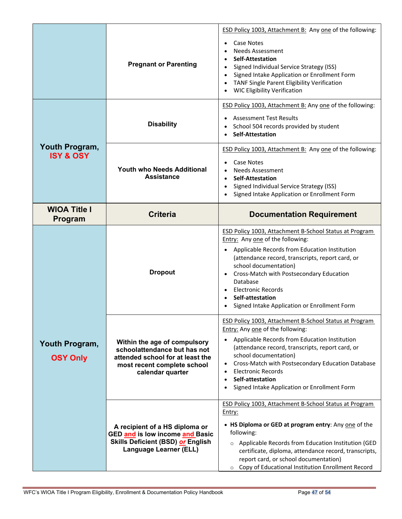|                                        | <b>Pregnant or Parenting</b>                                                                                                                        | <b>ESD Policy 1003, Attachment B: Any one of the following:</b><br>Case Notes<br>$\bullet$<br><b>Needs Assessment</b><br><b>Self-Attestation</b><br>Signed Individual Service Strategy (ISS)<br>$\bullet$<br>Signed Intake Application or Enrollment Form<br>TANF Single Parent Eligibility Verification<br><b>WIC Eligibility Verification</b>                                                                                                 |
|----------------------------------------|-----------------------------------------------------------------------------------------------------------------------------------------------------|-------------------------------------------------------------------------------------------------------------------------------------------------------------------------------------------------------------------------------------------------------------------------------------------------------------------------------------------------------------------------------------------------------------------------------------------------|
|                                        | <b>Disability</b>                                                                                                                                   | ESD Policy 1003, Attachment B: Any one of the following:<br><b>Assessment Test Results</b><br>School 504 records provided by student<br><b>Self-Attestation</b>                                                                                                                                                                                                                                                                                 |
| Youth Program,<br><b>ISY &amp; OSY</b> | <b>Youth who Needs Additional</b><br><b>Assistance</b>                                                                                              | ESD Policy 1003, Attachment B: Any one of the following:<br><b>Case Notes</b><br><b>Needs Assessment</b><br><b>Self-Attestation</b><br>$\bullet$<br>Signed Individual Service Strategy (ISS)<br>$\bullet$<br>Signed Intake Application or Enrollment Form                                                                                                                                                                                       |
| <b>WIOA Title I</b><br>Program         | <b>Criteria</b>                                                                                                                                     | <b>Documentation Requirement</b>                                                                                                                                                                                                                                                                                                                                                                                                                |
| <b>Dropout</b>                         |                                                                                                                                                     | ESD Policy 1003, Attachment B-School Status at Program<br>Entry: Any one of the following:<br>Applicable Records from Education Institution<br>$\bullet$<br>(attendance record, transcripts, report card, or<br>school documentation)<br>Cross-Match with Postsecondary Education<br>Database<br><b>Electronic Records</b><br>Self-attestation<br>$\bullet$<br>Signed Intake Application or Enrollment Form                                     |
| Youth Program,<br><b>OSY Only</b>      | Within the age of compulsory<br>schoolattendance but has not<br>attended school for at least the<br>most recent complete school<br>calendar quarter | ESD Policy 1003, Attachment B-School Status at Program<br>Entry: Any one of the following:<br>Applicable Records from Education Institution<br>$\bullet$<br>(attendance record, transcripts, report card, or<br>school documentation)<br>Cross-Match with Postsecondary Education Database<br>$\bullet$<br><b>Electronic Records</b><br>$\bullet$<br>Self-attestation<br>$\bullet$<br>Signed Intake Application or Enrollment Form<br>$\bullet$ |
|                                        | A recipient of a HS diploma or<br>GED and is low income and Basic<br><b>Skills Deficient (BSD) or English</b><br><b>Language Learner (ELL)</b>      | ESD Policy 1003, Attachment B-School Status at Program<br><u>Entry:</u><br>• HS Diploma or GED at program entry: Any one of the<br>following:<br>o Applicable Records from Education Institution (GED<br>certificate, diploma, attendance record, transcripts,<br>report card, or school documentation)<br>o Copy of Educational Institution Enrollment Record                                                                                  |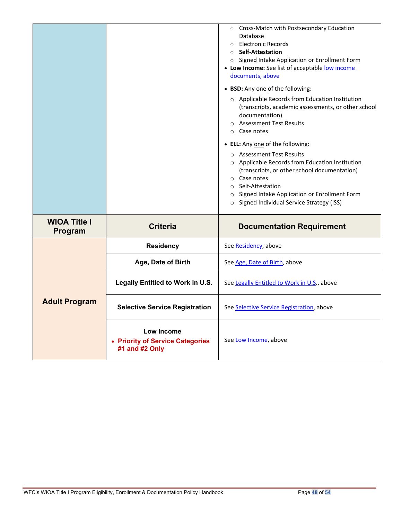|                                |                                                                  | o Cross-Match with Postsecondary Education<br>Database<br>Electronic Records<br>$\circ$<br>○ Self-Attestation<br>o Signed Intake Application or Enrollment Form<br>• Low Income: See list of acceptable low income<br>documents, above<br>• BSD: Any one of the following:<br>o Applicable Records from Education Institution<br>(transcripts, academic assessments, or other school<br>documentation)<br>○ Assessment Test Results<br>○ Case notes<br>• ELL: Any one of the following:<br>O Assessment Test Results<br>o Applicable Records from Education Institution<br>(transcripts, or other school documentation)<br>$\circ$ Case notes<br>○ Self-Attestation<br>o Signed Intake Application or Enrollment Form<br>Signed Individual Service Strategy (ISS)<br>$\circ$ |
|--------------------------------|------------------------------------------------------------------|------------------------------------------------------------------------------------------------------------------------------------------------------------------------------------------------------------------------------------------------------------------------------------------------------------------------------------------------------------------------------------------------------------------------------------------------------------------------------------------------------------------------------------------------------------------------------------------------------------------------------------------------------------------------------------------------------------------------------------------------------------------------------|
| <b>WIOA Title I</b><br>Program | <b>Criteria</b>                                                  | <b>Documentation Requirement</b>                                                                                                                                                                                                                                                                                                                                                                                                                                                                                                                                                                                                                                                                                                                                             |
|                                | <b>Residency</b>                                                 | See Residency, above                                                                                                                                                                                                                                                                                                                                                                                                                                                                                                                                                                                                                                                                                                                                                         |
|                                | Age, Date of Birth                                               | See Age, Date of Birth, above                                                                                                                                                                                                                                                                                                                                                                                                                                                                                                                                                                                                                                                                                                                                                |
|                                | Legally Entitled to Work in U.S.                                 | See Legally Entitled to Work in U.S., above                                                                                                                                                                                                                                                                                                                                                                                                                                                                                                                                                                                                                                                                                                                                  |
| <b>Adult Program</b>           | <b>Selective Service Registration</b>                            | See Selective Service Registration, above                                                                                                                                                                                                                                                                                                                                                                                                                                                                                                                                                                                                                                                                                                                                    |
|                                | Low Income<br>• Priority of Service Categories<br>#1 and #2 Only | See Low Income, above                                                                                                                                                                                                                                                                                                                                                                                                                                                                                                                                                                                                                                                                                                                                                        |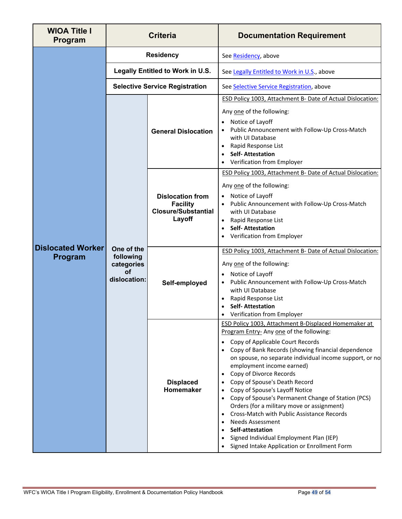| <b>WIOA Title I</b><br>Program            | <b>Criteria</b>                                       |                                                                                    | <b>Documentation Requirement</b>                                                                                                                                                                                                                                                                                                                                                                                                                                                                                                                                                                                                                                                                   |  |  |
|-------------------------------------------|-------------------------------------------------------|------------------------------------------------------------------------------------|----------------------------------------------------------------------------------------------------------------------------------------------------------------------------------------------------------------------------------------------------------------------------------------------------------------------------------------------------------------------------------------------------------------------------------------------------------------------------------------------------------------------------------------------------------------------------------------------------------------------------------------------------------------------------------------------------|--|--|
|                                           |                                                       | <b>Residency</b>                                                                   | See Residency, above                                                                                                                                                                                                                                                                                                                                                                                                                                                                                                                                                                                                                                                                               |  |  |
|                                           | Legally Entitled to Work in U.S.                      |                                                                                    | See Legally Entitled to Work in U.S., above                                                                                                                                                                                                                                                                                                                                                                                                                                                                                                                                                                                                                                                        |  |  |
| <b>Dislocated Worker</b><br>Program<br>οf |                                                       | <b>Selective Service Registration</b>                                              | See Selective Service Registration, above                                                                                                                                                                                                                                                                                                                                                                                                                                                                                                                                                                                                                                                          |  |  |
|                                           |                                                       | <b>General Dislocation</b>                                                         | ESD Policy 1003, Attachment B- Date of Actual Dislocation:<br>Any one of the following:<br>Notice of Layoff<br>Public Announcement with Follow-Up Cross-Match<br>with UI Database<br>Rapid Response List<br>٠<br><b>Self-Attestation</b><br>$\bullet$<br>Verification from Employer                                                                                                                                                                                                                                                                                                                                                                                                                |  |  |
|                                           |                                                       | <b>Dislocation from</b><br><b>Facility</b><br><b>Closure/Substantial</b><br>Layoff | ESD Policy 1003, Attachment B- Date of Actual Dislocation:<br>Any one of the following:<br>Notice of Layoff<br>$\bullet$<br>Public Announcement with Follow-Up Cross-Match<br>with UI Database<br>Rapid Response List<br><b>Self-Attestation</b><br>Verification from Employer                                                                                                                                                                                                                                                                                                                                                                                                                     |  |  |
|                                           | One of the<br>following<br>categories<br>dislocation: | Self-employed                                                                      | ESD Policy 1003, Attachment B- Date of Actual Dislocation:<br>Any one of the following:<br>Notice of Layoff<br>Public Announcement with Follow-Up Cross-Match<br>with UI Database<br>Rapid Response List<br>$\bullet$<br><b>Self-Attestation</b><br>Verification from Employer                                                                                                                                                                                                                                                                                                                                                                                                                     |  |  |
|                                           |                                                       | <b>Displaced</b><br>Homemaker                                                      | ESD Policy 1003, Attachment B-Displaced Homemaker at<br>Program Entry-Any one of the following:<br>Copy of Applicable Court Records<br>Copy of Bank Records (showing financial dependence<br>on spouse, no separate individual income support, or no<br>employment income earned)<br>Copy of Divorce Records<br>Copy of Spouse's Death Record<br>٠<br>Copy of Spouse's Layoff Notice<br>Copy of Spouse's Permanent Change of Station (PCS)<br>Orders (for a military move or assignment)<br>Cross-Match with Public Assistance Records<br><b>Needs Assessment</b><br>$\bullet$<br>Self-attestation<br>٠<br>Signed Individual Employment Plan (IEP)<br>Signed Intake Application or Enrollment Form |  |  |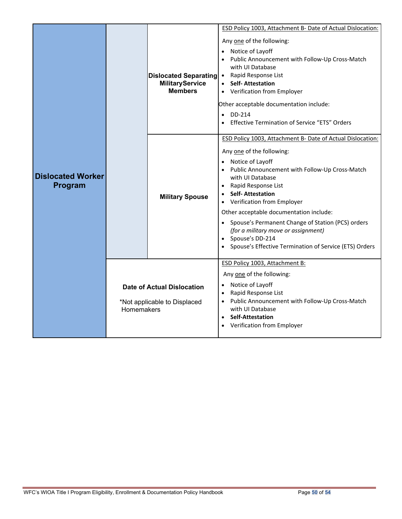|                                     |            | Dislocated Separating •<br><b>MilitaryService</b><br><b>Members</b> | ESD Policy 1003, Attachment B- Date of Actual Dislocation:<br>Any one of the following:<br>Notice of Layoff<br>$\bullet$<br>Public Announcement with Follow-Up Cross-Match<br>with UI Database<br>Rapid Response List<br><b>Self-Attestation</b><br>• Verification from Employer<br>Other acceptable documentation include:<br>DD-214<br>$\bullet$<br>Effective Termination of Service "ETS" Orders                                                                                          |  |  |
|-------------------------------------|------------|---------------------------------------------------------------------|----------------------------------------------------------------------------------------------------------------------------------------------------------------------------------------------------------------------------------------------------------------------------------------------------------------------------------------------------------------------------------------------------------------------------------------------------------------------------------------------|--|--|
| <b>Dislocated Worker</b><br>Program |            | <b>Military Spouse</b>                                              | ESD Policy 1003, Attachment B- Date of Actual Dislocation:<br>Any one of the following:<br>Notice of Layoff<br>Public Announcement with Follow-Up Cross-Match<br>with UI Database<br>Rapid Response List<br><b>Self-Attestation</b><br>Verification from Employer<br>٠<br>Other acceptable documentation include:<br>Spouse's Permanent Change of Station (PCS) orders<br>(for a military move or assignment)<br>• Spouse's DD-214<br>Spouse's Effective Termination of Service (ETS) Orders |  |  |
|                                     | Homemakers | <b>Date of Actual Dislocation</b><br>*Not applicable to Displaced   | ESD Policy 1003, Attachment B:<br>Any one of the following:<br>Notice of Layoff<br>$\bullet$<br>Rapid Response List<br>$\bullet$<br>Public Announcement with Follow-Up Cross-Match<br>with UI Database<br><b>Self-Attestation</b><br>Verification from Employer                                                                                                                                                                                                                              |  |  |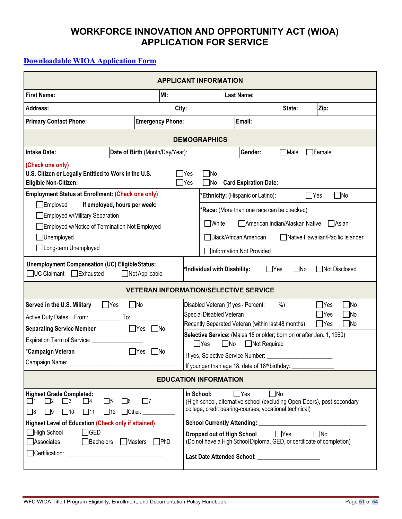# **WORKFORCE INNOVATION AND OPPORTUNITY ACT (WIOA) APPLICATION FOR SERVICE**

# <span id="page-50-0"></span>**Downloadable [WIOA Application Form](https://workforce-central.org/wp-content/uploads/2021/08/wioa-application-for-service-8-18-21.pdf)**

| <b>APPLICANT INFORMATION</b>                                                                                                                                                                                           |                         |                                                                                                                                                                                                                   |                                                                                                                                                                            |                                              |             |                                                  |  |
|------------------------------------------------------------------------------------------------------------------------------------------------------------------------------------------------------------------------|-------------------------|-------------------------------------------------------------------------------------------------------------------------------------------------------------------------------------------------------------------|----------------------------------------------------------------------------------------------------------------------------------------------------------------------------|----------------------------------------------|-------------|--------------------------------------------------|--|
| <b>First Name:</b>                                                                                                                                                                                                     | MI:                     |                                                                                                                                                                                                                   |                                                                                                                                                                            | <b>Last Name:</b>                            |             |                                                  |  |
| <b>Address:</b>                                                                                                                                                                                                        | City:                   |                                                                                                                                                                                                                   |                                                                                                                                                                            |                                              | State:      | Zip:                                             |  |
| <b>Primary Contact Phone:</b>                                                                                                                                                                                          | <b>Emergency Phone:</b> |                                                                                                                                                                                                                   |                                                                                                                                                                            | Email:                                       |             |                                                  |  |
| <b>DEMOGRAPHICS</b>                                                                                                                                                                                                    |                         |                                                                                                                                                                                                                   |                                                                                                                                                                            |                                              |             |                                                  |  |
| <b>Intake Date:</b><br>Date of Birth (Month/Day/Year):                                                                                                                                                                 |                         |                                                                                                                                                                                                                   |                                                                                                                                                                            | Gender:                                      | <b>Nale</b> | Female <sup></sup>                               |  |
| (Check one only)<br>U.S. Citizen or Legally Entitled to Work in the U.S.<br><b>Eligible Non-Citizen:</b>                                                                                                               |                         | $\Box$ Yes<br>$\bigcap$ Yes                                                                                                                                                                                       | $\Box$ No<br>$\square$ No                                                                                                                                                  | <b>Card Expiration Date:</b>                 |             |                                                  |  |
| <b>Employment Status at Enrollment: (Check one only)</b>                                                                                                                                                               |                         |                                                                                                                                                                                                                   |                                                                                                                                                                            | *Ethnicity: (Hispanic or Latino):            |             | $\square$ No<br>$\Box$ Yes                       |  |
| $\Box$ Employed<br>If employed, hours per week:                                                                                                                                                                        |                         |                                                                                                                                                                                                                   |                                                                                                                                                                            | *Race: (More than one race can be checked)   |             |                                                  |  |
| Employed w/Military Separation<br>Employed w/Notice of Termination Not Employed                                                                                                                                        |                         |                                                                                                                                                                                                                   | $\Box$ White                                                                                                                                                               | American Indian/Alaskan Native               |             | Asian                                            |  |
| □Unemployed                                                                                                                                                                                                            |                         |                                                                                                                                                                                                                   | Black/African American<br>Native Hawaiian/Pacific Islander                                                                                                                 |                                              |             |                                                  |  |
| □Long-term Unemployed                                                                                                                                                                                                  |                         |                                                                                                                                                                                                                   | Information Not Provided                                                                                                                                                   |                                              |             |                                                  |  |
| <b>Unemployment Compensation (UC) Eligible Status:</b><br>□ UC Claimant □ Exhausted<br>$\Box$ Not Applicable                                                                                                           |                         |                                                                                                                                                                                                                   | $\Box$ No<br>Not Disclosed<br>*Individual with Disability:<br>$\Box$ Yes                                                                                                   |                                              |             |                                                  |  |
|                                                                                                                                                                                                                        |                         |                                                                                                                                                                                                                   |                                                                                                                                                                            | <b>VETERAN INFORMATION/SELECTIVE SERVICE</b> |             |                                                  |  |
| $\neg$ No<br>Served in the U.S. Military<br>$\Box$ Yes<br><b>Separating Service Member</b><br>$\Box$ Yes $\Box$ No                                                                                                     |                         | $\square$ No<br>Disabled Veteran (if yes - Percent:<br>%<br>$\Box$ Yes<br>Special Disabled Veteran<br>$\bigcap$ Yes<br>$\Box$ No<br>Recently Separated Veteran (within last 48 months)<br>$\Box$ Yes<br>$\Box$ No |                                                                                                                                                                            |                                              |             |                                                  |  |
| Expiration Term of Service: __________                                                                                                                                                                                 |                         |                                                                                                                                                                                                                   | Selective Service: (Males 18 or older; born on or after Jan. 1, 1960)<br>$\Box$ Yes<br>$\Box$ No<br>□ Not Required                                                         |                                              |             |                                                  |  |
| *Campaign Veteran<br>$\Box$ Yes                                                                                                                                                                                        | $\Box$ No               |                                                                                                                                                                                                                   |                                                                                                                                                                            |                                              |             |                                                  |  |
| Campaign Name:                                                                                                                                                                                                         |                         | If younger than age 18, date of 18th birthday:                                                                                                                                                                    |                                                                                                                                                                            |                                              |             |                                                  |  |
| <b>EDUCATION INFORMATION</b>                                                                                                                                                                                           |                         |                                                                                                                                                                                                                   |                                                                                                                                                                            |                                              |             |                                                  |  |
| <b>Highest Grade Completed:</b><br>$\square$ 5<br>$\Box$ 7<br>$\Box$ 1<br>$\Box$ 2<br>$\Box$ 3<br>$\Box$ 4<br>$\square$ 6<br>$\Box$ 12<br>Other: _____________<br>$\Box$ 8<br>$\Box$ 9<br>$\square$ 10<br>$\square$ 11 |                         |                                                                                                                                                                                                                   | $\neg$ No<br>In School:<br>$\Box$ Yes<br>(High school, alternative school (excluding Open Doors), post-secondary<br>college, credit bearing-courses, vocational technical) |                                              |             |                                                  |  |
| <b>Highest Level of Education (Check only if attained)</b>                                                                                                                                                             |                         |                                                                                                                                                                                                                   |                                                                                                                                                                            | <b>School Currently Attending:</b>           |             | <u> 1980 - Jan Barat, margaret ar ferfinding</u> |  |
| $\Box$ GED<br>$\Box$ High School<br>□ Associates<br>Bachelors<br>Masters PhD                                                                                                                                           |                         |                                                                                                                                                                                                                   | $\Box$ Yes<br>$\Box$ No<br>Dropped out of High School<br>(Do not have a High School Diploma, GED, or certificate of completion)                                            |                                              |             |                                                  |  |
|                                                                                                                                                                                                                        |                         |                                                                                                                                                                                                                   | Last Date Attended School: _______________________                                                                                                                         |                                              |             |                                                  |  |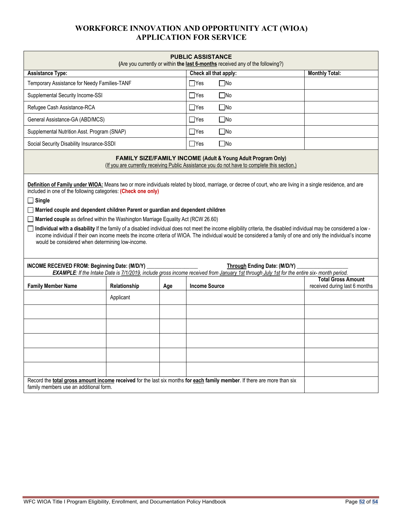# **WORKFORCE INNOVATION AND OPPORTUNITY ACT (WIOA) APPLICATION FOR SERVICE**

| <b>PUBLIC ASSISTANCE</b><br>(Are you currently or within the last 6-months received any of the following?)                                                                                                                                                                                                   |                                                                                                                                                              |     |                      |                                     |                                                                                                                                                                                                                                                                                                                                                                                                                                                                                                        |  |  |  |
|--------------------------------------------------------------------------------------------------------------------------------------------------------------------------------------------------------------------------------------------------------------------------------------------------------------|--------------------------------------------------------------------------------------------------------------------------------------------------------------|-----|----------------------|-------------------------------------|--------------------------------------------------------------------------------------------------------------------------------------------------------------------------------------------------------------------------------------------------------------------------------------------------------------------------------------------------------------------------------------------------------------------------------------------------------------------------------------------------------|--|--|--|
| <b>Assistance Type:</b>                                                                                                                                                                                                                                                                                      |                                                                                                                                                              |     |                      | Check all that apply:               | <b>Monthly Total:</b>                                                                                                                                                                                                                                                                                                                                                                                                                                                                                  |  |  |  |
| Temporary Assistance for Needy Families-TANF                                                                                                                                                                                                                                                                 |                                                                                                                                                              |     | $\Box$ Yes           | $\square$ No                        |                                                                                                                                                                                                                                                                                                                                                                                                                                                                                                        |  |  |  |
| Supplemental Security Income-SSI                                                                                                                                                                                                                                                                             |                                                                                                                                                              |     | $\Box$ Yes           | $\Box$ No                           |                                                                                                                                                                                                                                                                                                                                                                                                                                                                                                        |  |  |  |
| Refugee Cash Assistance-RCA                                                                                                                                                                                                                                                                                  |                                                                                                                                                              |     | $\Box$ Yes           | $\Box$ No                           |                                                                                                                                                                                                                                                                                                                                                                                                                                                                                                        |  |  |  |
| General Assistance-GA (ABD/MCS)                                                                                                                                                                                                                                                                              |                                                                                                                                                              |     | $\Box$ Yes           | $\Box$ No                           |                                                                                                                                                                                                                                                                                                                                                                                                                                                                                                        |  |  |  |
| Supplemental Nutrition Asst. Program (SNAP)                                                                                                                                                                                                                                                                  |                                                                                                                                                              |     | $\Box$ Yes           | $\Box$ No                           |                                                                                                                                                                                                                                                                                                                                                                                                                                                                                                        |  |  |  |
| Social Security Disability Insurance-SSDI                                                                                                                                                                                                                                                                    |                                                                                                                                                              |     | $\Box$ Yes           | $\Box$ No                           |                                                                                                                                                                                                                                                                                                                                                                                                                                                                                                        |  |  |  |
|                                                                                                                                                                                                                                                                                                              | FAMILY SIZE/FAMILY INCOME (Adult & Young Adult Program Only)<br>(If you are currently receiving Public Assistance you do not have to complete this section.) |     |                      |                                     |                                                                                                                                                                                                                                                                                                                                                                                                                                                                                                        |  |  |  |
| included in one of the following categories: (Check one only)<br>$\Box$ Single<br>□ Married couple and dependent children Parent or guardian and dependent children<br>Married couple as defined within the Washington Marriage Equality Act (RCW 26.60)<br>would be considered when determining low-income. |                                                                                                                                                              |     |                      |                                     | Definition of Family under WIOA: Means two or more individuals related by blood, marriage, or decree of court, who are living in a single residence, and are<br>□ Individual with a disability If the family of a disabled individual does not meet the income eligibility criteria, the disabled individual may be considered a low -<br>income individual if their own income meets the income criteria of WIOA. The individual would be considered a family of one and only the individual's income |  |  |  |
| INCOME RECEIVED FROM: Beginning Date: (M/D/Y)                                                                                                                                                                                                                                                                |                                                                                                                                                              |     |                      | <b>Through Ending Date: (M/D/Y)</b> | EXAMPLE: If the Intake Date is 7/1/2019, include gross income received from January 1st through July 1st for the entire six- month period.                                                                                                                                                                                                                                                                                                                                                             |  |  |  |
| <b>Family Member Name</b>                                                                                                                                                                                                                                                                                    | Relationship                                                                                                                                                 | Age | <b>Income Source</b> |                                     | <b>Total Gross Amount</b><br>received during last 6 months                                                                                                                                                                                                                                                                                                                                                                                                                                             |  |  |  |
|                                                                                                                                                                                                                                                                                                              | Applicant                                                                                                                                                    |     |                      |                                     |                                                                                                                                                                                                                                                                                                                                                                                                                                                                                                        |  |  |  |
|                                                                                                                                                                                                                                                                                                              |                                                                                                                                                              |     |                      |                                     |                                                                                                                                                                                                                                                                                                                                                                                                                                                                                                        |  |  |  |
|                                                                                                                                                                                                                                                                                                              |                                                                                                                                                              |     |                      |                                     |                                                                                                                                                                                                                                                                                                                                                                                                                                                                                                        |  |  |  |
|                                                                                                                                                                                                                                                                                                              |                                                                                                                                                              |     |                      |                                     |                                                                                                                                                                                                                                                                                                                                                                                                                                                                                                        |  |  |  |
|                                                                                                                                                                                                                                                                                                              |                                                                                                                                                              |     |                      |                                     |                                                                                                                                                                                                                                                                                                                                                                                                                                                                                                        |  |  |  |
|                                                                                                                                                                                                                                                                                                              |                                                                                                                                                              |     |                      |                                     |                                                                                                                                                                                                                                                                                                                                                                                                                                                                                                        |  |  |  |
| Record the total gross amount income received for the last six months for each family member. If there are more than six<br>family members use an additional form.                                                                                                                                           |                                                                                                                                                              |     |                      |                                     |                                                                                                                                                                                                                                                                                                                                                                                                                                                                                                        |  |  |  |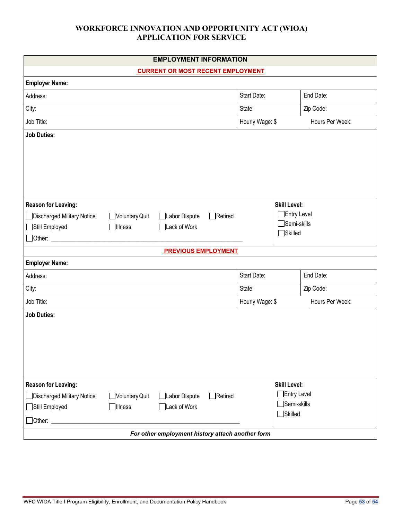### **WORKFORCE INNOVATION AND OPPORTUNITY ACT (WIOA) APPLICATION FOR SERVICE**

|                            |                | <b>EMPLOYMENT INFORMATION</b>                    |                |                 |                     |                 |
|----------------------------|----------------|--------------------------------------------------|----------------|-----------------|---------------------|-----------------|
|                            |                | <b>CURRENT OR MOST RECENT EMPLOYMENT</b>         |                |                 |                     |                 |
| <b>Employer Name:</b>      |                |                                                  |                |                 |                     |                 |
| Address:                   |                |                                                  |                | Start Date:     |                     | End Date:       |
| City:                      |                |                                                  |                | State:          |                     | Zip Code:       |
| Job Title:                 |                |                                                  |                | Hourly Wage: \$ |                     | Hours Per Week: |
| <b>Job Duties:</b>         |                |                                                  |                |                 |                     |                 |
|                            |                |                                                  |                |                 |                     |                 |
|                            |                |                                                  |                |                 |                     |                 |
|                            |                |                                                  |                |                 |                     |                 |
|                            |                |                                                  |                |                 |                     |                 |
|                            |                |                                                  |                |                 |                     |                 |
| Reason for Leaving:        |                |                                                  |                |                 | <b>Skill Level:</b> |                 |
| Discharged Military Notice | Voluntary Quit | Labor Dispute                                    | $\Box$ Retired |                 | Entry Level         |                 |
| Still Employed             | <b>Illness</b> | □Lack of Work                                    |                |                 | Semi-skills         |                 |
| □ Other: _________         |                |                                                  |                |                 | $\Box$ Skilled      |                 |
|                            |                | <b>PREVIOUS EMPLOYMENT</b>                       |                |                 |                     |                 |
| <b>Employer Name:</b>      |                |                                                  |                |                 |                     |                 |
| Address:                   |                |                                                  |                | Start Date:     |                     | End Date:       |
| City:                      |                |                                                  |                | State:          |                     | Zip Code:       |
| Job Title:                 |                |                                                  |                | Hourly Wage: \$ |                     | Hours Per Week: |
| <b>Job Duties:</b>         |                |                                                  |                |                 |                     |                 |
|                            |                |                                                  |                |                 |                     |                 |
|                            |                |                                                  |                |                 |                     |                 |
|                            |                |                                                  |                |                 |                     |                 |
|                            |                |                                                  |                |                 |                     |                 |
|                            |                |                                                  |                |                 |                     |                 |
| Reason for Leaving:        |                |                                                  |                |                 | <b>Skill Level:</b> |                 |
| Discharged Military Notice | Voluntary Quit | Labor Dispute                                    | $\Box$ Retired |                 | $\Box$ Entry Level  |                 |
| Still Employed             | <b>Illness</b> | Lack of Work                                     |                |                 | Semi-skills         |                 |
| $\Box$ Other: $\Box$       |                |                                                  |                |                 | Skilled             |                 |
|                            |                | For other employment history attach another form |                |                 |                     |                 |
|                            |                |                                                  |                |                 |                     |                 |